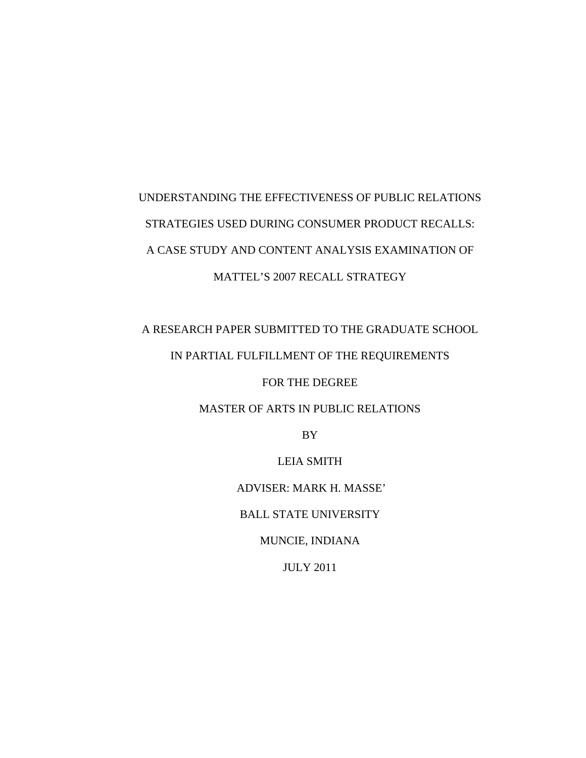# UNDERSTANDING THE EFFECTIVENESS OF PUBLIC RELATIONS STRATEGIES USED DURING CONSUMER PRODUCT RECALLS: A CASE STUDY AND CONTENT ANALYSIS EXAMINATION OF MATTEL'S 2007 RECALL STRATEGY

# A RESEARCH PAPER SUBMITTED TO THE GRADUATE SCHOOL IN PARTIAL FULFILLMENT OF THE REQUIREMENTS

FOR THE DEGREE

### MASTER OF ARTS IN PUBLIC RELATIONS

BY

LEIA SMITH

ADVISER: MARK H. MASSE'

BALL STATE UNIVERSITY

MUNCIE, INDIANA

JULY 2011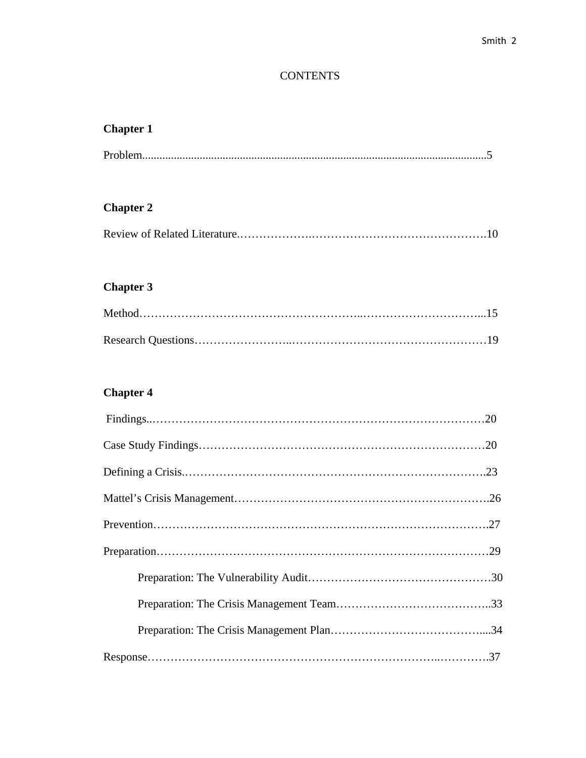### **CONTENTS**

### **Chapter 1**

|--|

## **Chapter 2**

|--|

## **Chapter 3**

## **Chapter 4**

| $Findings. \dots 120$ |  |
|-----------------------|--|
|                       |  |
|                       |  |
|                       |  |
|                       |  |
|                       |  |
|                       |  |
|                       |  |
|                       |  |
|                       |  |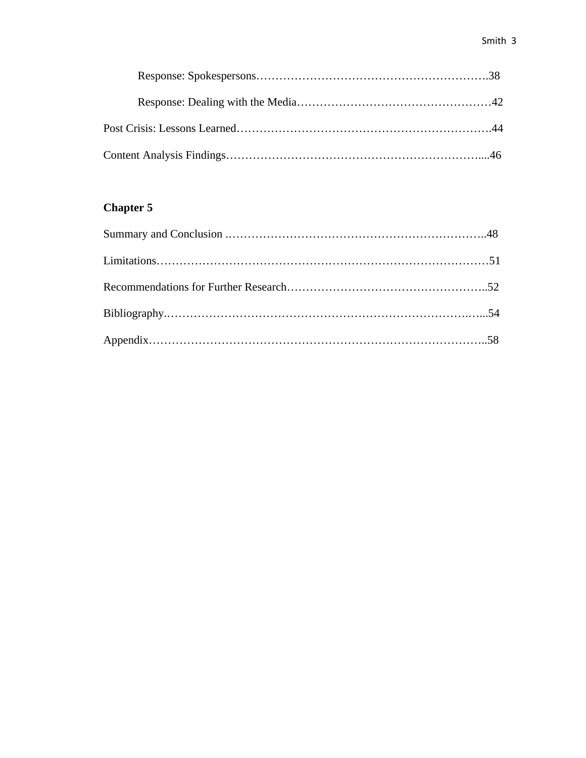## **Chapter 5**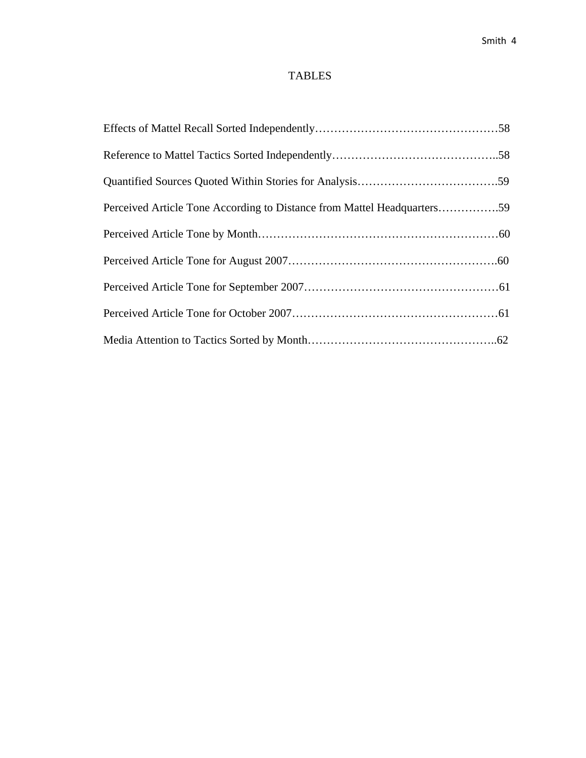### TABLES

| Perceived Article Tone According to Distance from Mattel Headquarters59 |  |
|-------------------------------------------------------------------------|--|
|                                                                         |  |
|                                                                         |  |
|                                                                         |  |
|                                                                         |  |
|                                                                         |  |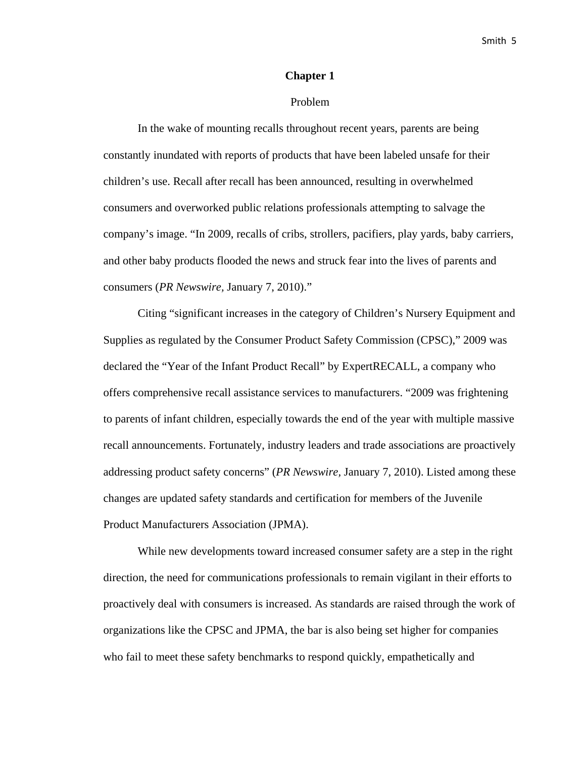#### **Chapter 1**

#### Problem

In the wake of mounting recalls throughout recent years, parents are being constantly inundated with reports of products that have been labeled unsafe for their children's use. Recall after recall has been announced, resulting in overwhelmed consumers and overworked public relations professionals attempting to salvage the company's image. "In 2009, recalls of cribs, strollers, pacifiers, play yards, baby carriers, and other baby products flooded the news and struck fear into the lives of parents and consumers (*PR Newswire,* January 7, 2010)."

Citing "significant increases in the category of Children's Nursery Equipment and Supplies as regulated by the Consumer Product Safety Commission (CPSC)," 2009 was declared the "Year of the Infant Product Recall" by ExpertRECALL, a company who offers comprehensive recall assistance services to manufacturers. "2009 was frightening to parents of infant children, especially towards the end of the year with multiple massive recall announcements. Fortunately, industry leaders and trade associations are proactively addressing product safety concerns" (*PR Newswire,* January 7, 2010). Listed among these changes are updated safety standards and certification for members of the Juvenile Product Manufacturers Association (JPMA).

While new developments toward increased consumer safety are a step in the right direction, the need for communications professionals to remain vigilant in their efforts to proactively deal with consumers is increased. As standards are raised through the work of organizations like the CPSC and JPMA, the bar is also being set higher for companies who fail to meet these safety benchmarks to respond quickly, empathetically and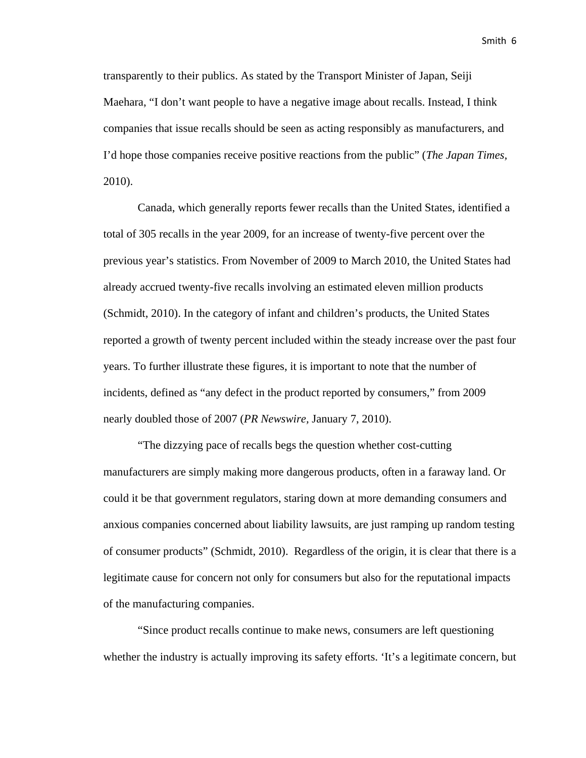transparently to their publics. As stated by the Transport Minister of Japan, Seiji Maehara, "I don't want people to have a negative image about recalls. Instead, I think companies that issue recalls should be seen as acting responsibly as manufacturers, and I'd hope those companies receive positive reactions from the public" (*The Japan Times,*  2010).

Canada, which generally reports fewer recalls than the United States, identified a total of 305 recalls in the year 2009, for an increase of twenty-five percent over the previous year's statistics. From November of 2009 to March 2010, the United States had already accrued twenty-five recalls involving an estimated eleven million products (Schmidt, 2010). In the category of infant and children's products, the United States reported a growth of twenty percent included within the steady increase over the past four years. To further illustrate these figures, it is important to note that the number of incidents, defined as "any defect in the product reported by consumers," from 2009 nearly doubled those of 2007 (*PR Newswire,* January 7, 2010).

"The dizzying pace of recalls begs the question whether cost-cutting manufacturers are simply making more dangerous products, often in a faraway land. Or could it be that government regulators, staring down at more demanding consumers and anxious companies concerned about liability lawsuits, are just ramping up random testing of consumer products" (Schmidt, 2010). Regardless of the origin, it is clear that there is a legitimate cause for concern not only for consumers but also for the reputational impacts of the manufacturing companies.

"Since product recalls continue to make news, consumers are left questioning whether the industry is actually improving its safety efforts. 'It's a legitimate concern, but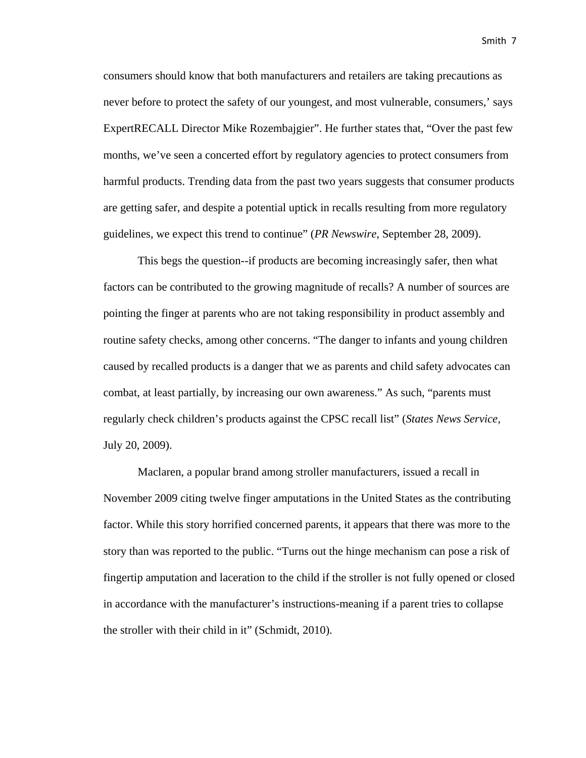consumers should know that both manufacturers and retailers are taking precautions as never before to protect the safety of our youngest, and most vulnerable, consumers,' says ExpertRECALL Director Mike Rozembajgier". He further states that, "Over the past few months, we've seen a concerted effort by regulatory agencies to protect consumers from harmful products. Trending data from the past two years suggests that consumer products are getting safer, and despite a potential uptick in recalls resulting from more regulatory guidelines, we expect this trend to continue" (*PR Newswire*, September 28, 2009).

This begs the question--if products are becoming increasingly safer, then what factors can be contributed to the growing magnitude of recalls? A number of sources are pointing the finger at parents who are not taking responsibility in product assembly and routine safety checks, among other concerns. "The danger to infants and young children caused by recalled products is a danger that we as parents and child safety advocates can combat, at least partially, by increasing our own awareness." As such, "parents must regularly check children's products against the CPSC recall list" (*States News Service,*  July 20, 2009).

Maclaren, a popular brand among stroller manufacturers, issued a recall in November 2009 citing twelve finger amputations in the United States as the contributing factor. While this story horrified concerned parents, it appears that there was more to the story than was reported to the public. "Turns out the hinge mechanism can pose a risk of fingertip amputation and laceration to the child if the stroller is not fully opened or closed in accordance with the manufacturer's instructions-meaning if a parent tries to collapse the stroller with their child in it" (Schmidt, 2010).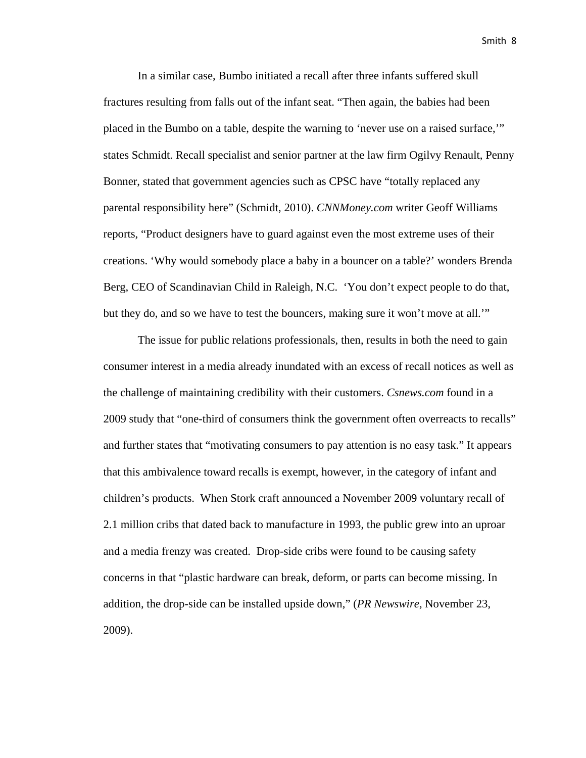In a similar case, Bumbo initiated a recall after three infants suffered skull fractures resulting from falls out of the infant seat. "Then again, the babies had been placed in the Bumbo on a table, despite the warning to 'never use on a raised surface,'" states Schmidt. Recall specialist and senior partner at the law firm Ogilvy Renault, Penny Bonner, stated that government agencies such as CPSC have "totally replaced any parental responsibility here" (Schmidt, 2010). *CNNMoney.com* writer Geoff Williams reports, "Product designers have to guard against even the most extreme uses of their creations. 'Why would somebody place a baby in a bouncer on a table?' wonders Brenda Berg, CEO of Scandinavian Child in Raleigh, N.C. 'You don't expect people to do that, but they do, and so we have to test the bouncers, making sure it won't move at all.'"

The issue for public relations professionals, then, results in both the need to gain consumer interest in a media already inundated with an excess of recall notices as well as the challenge of maintaining credibility with their customers. *Csnews.com* found in a 2009 study that "one-third of consumers think the government often overreacts to recalls" and further states that "motivating consumers to pay attention is no easy task." It appears that this ambivalence toward recalls is exempt, however, in the category of infant and children's products. When Stork craft announced a November 2009 voluntary recall of 2.1 million cribs that dated back to manufacture in 1993, the public grew into an uproar and a media frenzy was created. Drop-side cribs were found to be causing safety concerns in that "plastic hardware can break, deform, or parts can become missing. In addition, the drop-side can be installed upside down," (*PR Newswire,* November 23, 2009).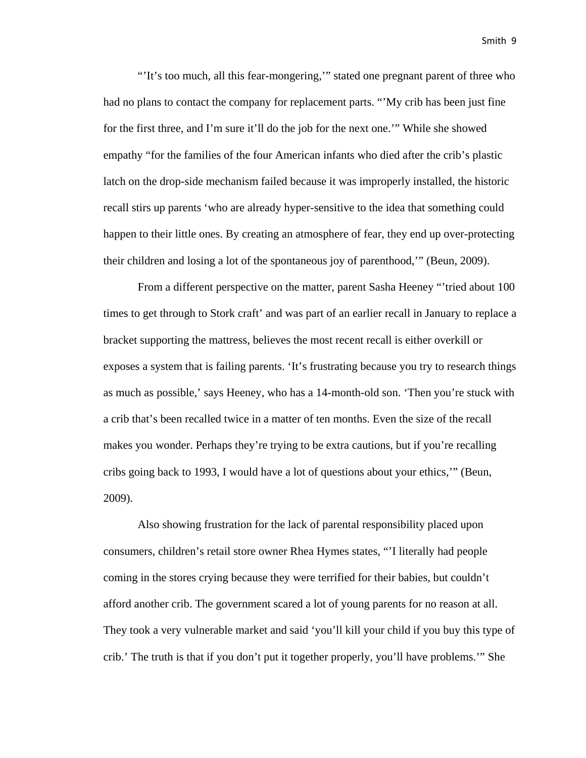"'It's too much, all this fear-mongering,'" stated one pregnant parent of three who had no plans to contact the company for replacement parts. "My crib has been just fine for the first three, and I'm sure it'll do the job for the next one.'" While she showed empathy "for the families of the four American infants who died after the crib's plastic latch on the drop-side mechanism failed because it was improperly installed, the historic recall stirs up parents 'who are already hyper-sensitive to the idea that something could happen to their little ones. By creating an atmosphere of fear, they end up over-protecting their children and losing a lot of the spontaneous joy of parenthood,'" (Beun, 2009).

From a different perspective on the matter, parent Sasha Heeney "'tried about 100 times to get through to Stork craft' and was part of an earlier recall in January to replace a bracket supporting the mattress, believes the most recent recall is either overkill or exposes a system that is failing parents. 'It's frustrating because you try to research things as much as possible,' says Heeney, who has a 14-month-old son. 'Then you're stuck with a crib that's been recalled twice in a matter of ten months. Even the size of the recall makes you wonder. Perhaps they're trying to be extra cautions, but if you're recalling cribs going back to 1993, I would have a lot of questions about your ethics,'" (Beun, 2009).

Also showing frustration for the lack of parental responsibility placed upon consumers, children's retail store owner Rhea Hymes states, "'I literally had people coming in the stores crying because they were terrified for their babies, but couldn't afford another crib. The government scared a lot of young parents for no reason at all. They took a very vulnerable market and said 'you'll kill your child if you buy this type of crib.' The truth is that if you don't put it together properly, you'll have problems.'" She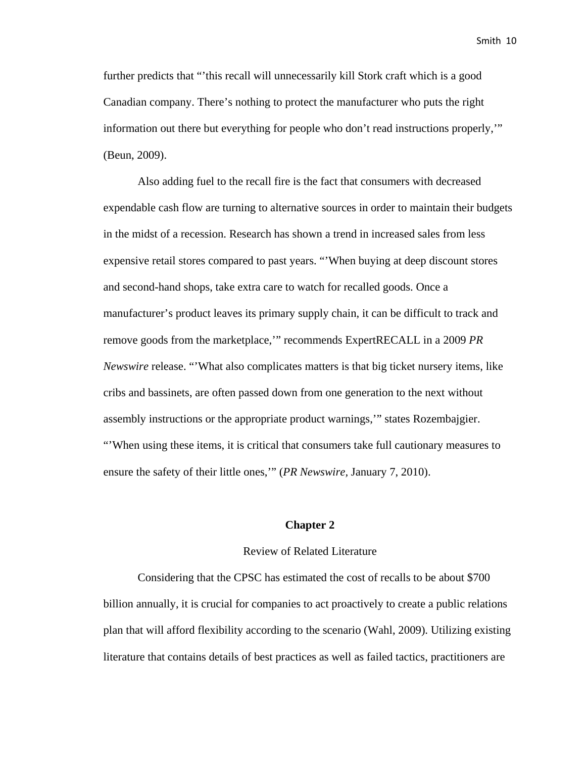further predicts that "'this recall will unnecessarily kill Stork craft which is a good Canadian company. There's nothing to protect the manufacturer who puts the right information out there but everything for people who don't read instructions properly,'" (Beun, 2009).

Also adding fuel to the recall fire is the fact that consumers with decreased expendable cash flow are turning to alternative sources in order to maintain their budgets in the midst of a recession. Research has shown a trend in increased sales from less expensive retail stores compared to past years. "'When buying at deep discount stores and second-hand shops, take extra care to watch for recalled goods. Once a manufacturer's product leaves its primary supply chain, it can be difficult to track and remove goods from the marketplace,'" recommends ExpertRECALL in a 2009 *PR Newswire* release. "'What also complicates matters is that big ticket nursery items, like cribs and bassinets, are often passed down from one generation to the next without assembly instructions or the appropriate product warnings,'" states Rozembajgier. "'When using these items, it is critical that consumers take full cautionary measures to ensure the safety of their little ones,'" (*PR Newswire,* January 7, 2010).

#### **Chapter 2**

#### Review of Related Literature

Considering that the CPSC has estimated the cost of recalls to be about \$700 billion annually, it is crucial for companies to act proactively to create a public relations plan that will afford flexibility according to the scenario (Wahl, 2009). Utilizing existing literature that contains details of best practices as well as failed tactics, practitioners are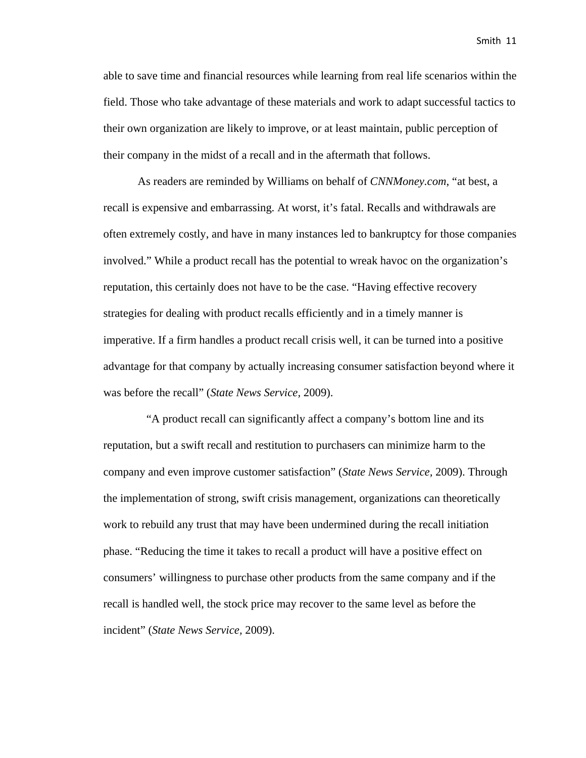able to save time and financial resources while learning from real life scenarios within the field. Those who take advantage of these materials and work to adapt successful tactics to their own organization are likely to improve, or at least maintain, public perception of their company in the midst of a recall and in the aftermath that follows.

As readers are reminded by Williams on behalf of *CNNMoney.com*, "at best, a recall is expensive and embarrassing. At worst, it's fatal. Recalls and withdrawals are often extremely costly, and have in many instances led to bankruptcy for those companies involved." While a product recall has the potential to wreak havoc on the organization's reputation, this certainly does not have to be the case. "Having effective recovery strategies for dealing with product recalls efficiently and in a timely manner is imperative. If a firm handles a product recall crisis well, it can be turned into a positive advantage for that company by actually increasing consumer satisfaction beyond where it was before the recall" (*State News Service,* 2009).

 "A product recall can significantly affect a company's bottom line and its reputation, but a swift recall and restitution to purchasers can minimize harm to the company and even improve customer satisfaction" (*State News Service,* 2009). Through the implementation of strong, swift crisis management, organizations can theoretically work to rebuild any trust that may have been undermined during the recall initiation phase. "Reducing the time it takes to recall a product will have a positive effect on consumers' willingness to purchase other products from the same company and if the recall is handled well, the stock price may recover to the same level as before the incident" (*State News Service,* 2009).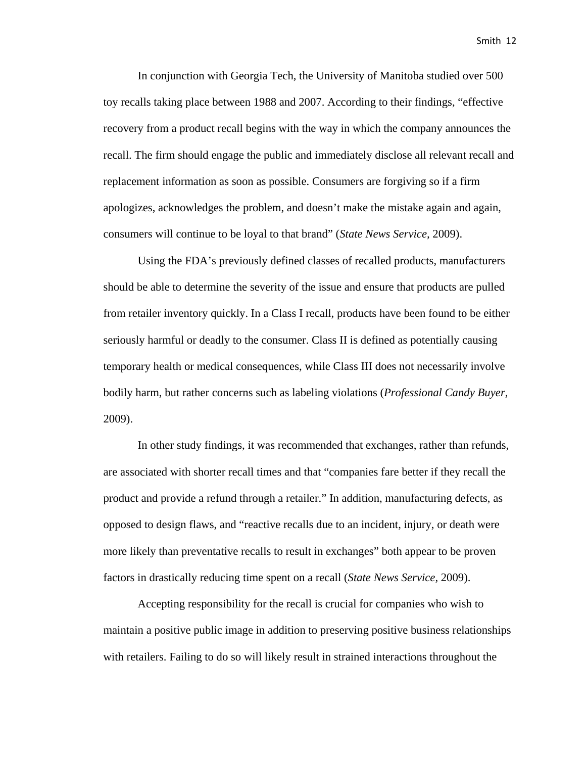In conjunction with Georgia Tech, the University of Manitoba studied over 500 toy recalls taking place between 1988 and 2007. According to their findings, "effective recovery from a product recall begins with the way in which the company announces the recall. The firm should engage the public and immediately disclose all relevant recall and replacement information as soon as possible. Consumers are forgiving so if a firm apologizes, acknowledges the problem, and doesn't make the mistake again and again, consumers will continue to be loyal to that brand" (*State News Service,* 2009).

Using the FDA's previously defined classes of recalled products, manufacturers should be able to determine the severity of the issue and ensure that products are pulled from retailer inventory quickly. In a Class I recall, products have been found to be either seriously harmful or deadly to the consumer. Class II is defined as potentially causing temporary health or medical consequences, while Class III does not necessarily involve bodily harm, but rather concerns such as labeling violations (*Professional Candy Buyer,* 2009).

In other study findings, it was recommended that exchanges, rather than refunds, are associated with shorter recall times and that "companies fare better if they recall the product and provide a refund through a retailer." In addition, manufacturing defects, as opposed to design flaws, and "reactive recalls due to an incident, injury, or death were more likely than preventative recalls to result in exchanges" both appear to be proven factors in drastically reducing time spent on a recall (*State News Service,* 2009).

Accepting responsibility for the recall is crucial for companies who wish to maintain a positive public image in addition to preserving positive business relationships with retailers. Failing to do so will likely result in strained interactions throughout the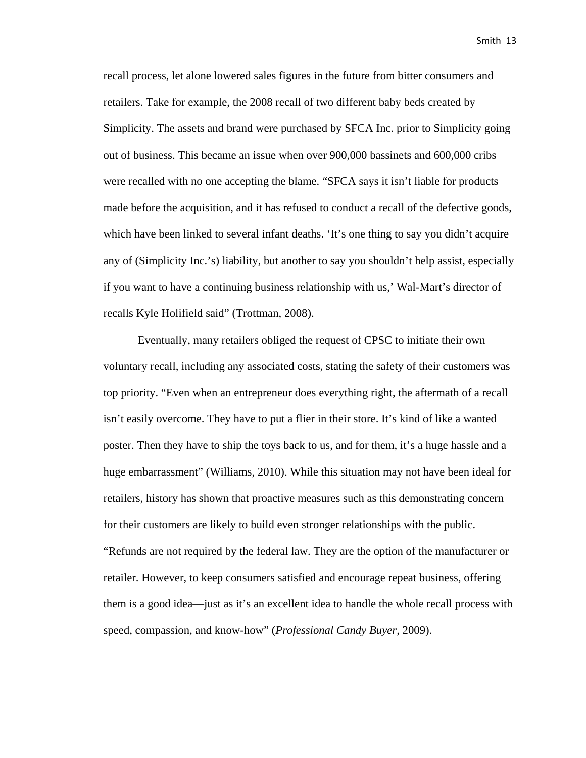recall process, let alone lowered sales figures in the future from bitter consumers and retailers. Take for example, the 2008 recall of two different baby beds created by Simplicity. The assets and brand were purchased by SFCA Inc. prior to Simplicity going out of business. This became an issue when over 900,000 bassinets and 600,000 cribs were recalled with no one accepting the blame. "SFCA says it isn't liable for products made before the acquisition, and it has refused to conduct a recall of the defective goods, which have been linked to several infant deaths. 'It's one thing to say you didn't acquire any of (Simplicity Inc.'s) liability, but another to say you shouldn't help assist, especially if you want to have a continuing business relationship with us,' Wal-Mart's director of recalls Kyle Holifield said" (Trottman, 2008).

Eventually, many retailers obliged the request of CPSC to initiate their own voluntary recall, including any associated costs, stating the safety of their customers was top priority. "Even when an entrepreneur does everything right, the aftermath of a recall isn't easily overcome. They have to put a flier in their store. It's kind of like a wanted poster. Then they have to ship the toys back to us, and for them, it's a huge hassle and a huge embarrassment" (Williams, 2010). While this situation may not have been ideal for retailers, history has shown that proactive measures such as this demonstrating concern for their customers are likely to build even stronger relationships with the public. "Refunds are not required by the federal law. They are the option of the manufacturer or retailer. However, to keep consumers satisfied and encourage repeat business, offering them is a good idea—just as it's an excellent idea to handle the whole recall process with speed, compassion, and know-how" (*Professional Candy Buyer,* 2009).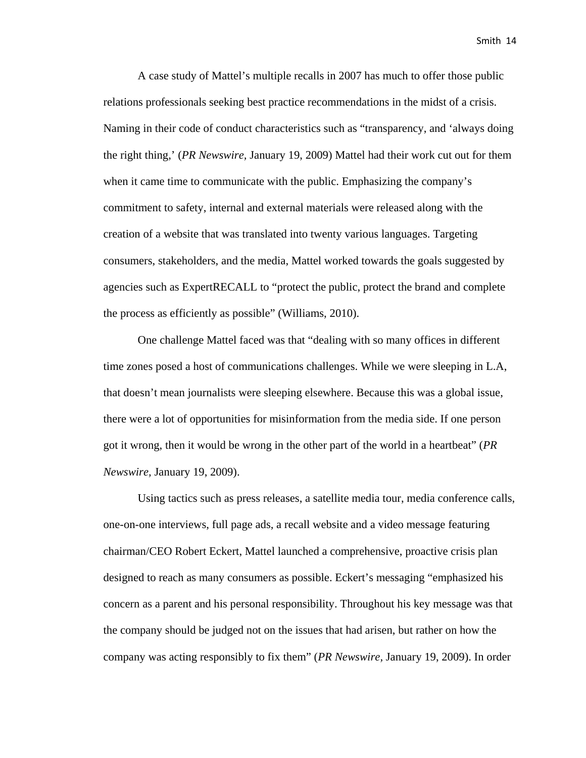A case study of Mattel's multiple recalls in 2007 has much to offer those public relations professionals seeking best practice recommendations in the midst of a crisis. Naming in their code of conduct characteristics such as "transparency, and 'always doing the right thing,' (*PR Newswire,* January 19, 2009) Mattel had their work cut out for them when it came time to communicate with the public. Emphasizing the company's commitment to safety, internal and external materials were released along with the creation of a website that was translated into twenty various languages. Targeting consumers, stakeholders, and the media, Mattel worked towards the goals suggested by agencies such as ExpertRECALL to "protect the public, protect the brand and complete the process as efficiently as possible" (Williams, 2010).

One challenge Mattel faced was that "dealing with so many offices in different time zones posed a host of communications challenges. While we were sleeping in L.A, that doesn't mean journalists were sleeping elsewhere. Because this was a global issue, there were a lot of opportunities for misinformation from the media side. If one person got it wrong, then it would be wrong in the other part of the world in a heartbeat" (*PR Newswire,* January 19, 2009).

Using tactics such as press releases, a satellite media tour, media conference calls, one-on-one interviews, full page ads, a recall website and a video message featuring chairman/CEO Robert Eckert, Mattel launched a comprehensive, proactive crisis plan designed to reach as many consumers as possible. Eckert's messaging "emphasized his concern as a parent and his personal responsibility. Throughout his key message was that the company should be judged not on the issues that had arisen, but rather on how the company was acting responsibly to fix them" (*PR Newswire,* January 19, 2009). In order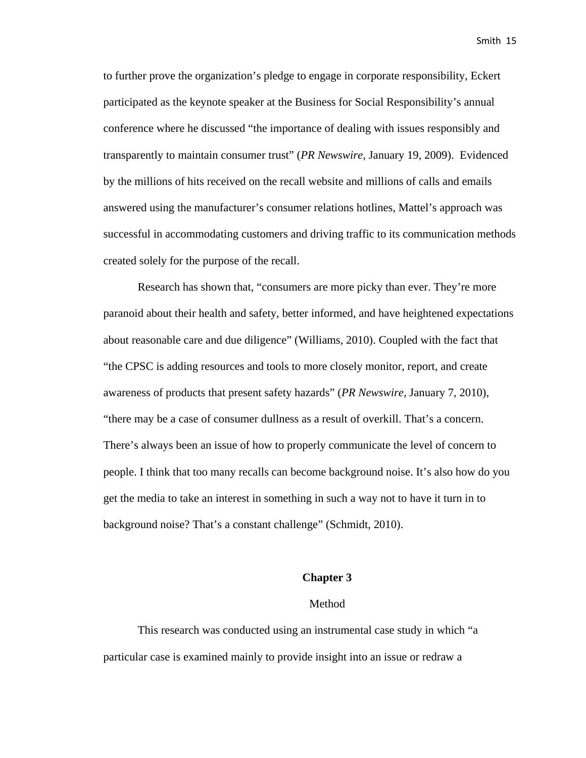to further prove the organization's pledge to engage in corporate responsibility, Eckert participated as the keynote speaker at the Business for Social Responsibility's annual conference where he discussed "the importance of dealing with issues responsibly and transparently to maintain consumer trust" (*PR Newswire,* January 19, 2009). Evidenced by the millions of hits received on the recall website and millions of calls and emails answered using the manufacturer's consumer relations hotlines, Mattel's approach was successful in accommodating customers and driving traffic to its communication methods created solely for the purpose of the recall.

Research has shown that, "consumers are more picky than ever. They're more paranoid about their health and safety, better informed, and have heightened expectations about reasonable care and due diligence" (Williams, 2010). Coupled with the fact that "the CPSC is adding resources and tools to more closely monitor, report, and create awareness of products that present safety hazards" (*PR Newswire,* January 7, 2010), "there may be a case of consumer dullness as a result of overkill. That's a concern. There's always been an issue of how to properly communicate the level of concern to people. I think that too many recalls can become background noise. It's also how do you get the media to take an interest in something in such a way not to have it turn in to background noise? That's a constant challenge" (Schmidt, 2010).

#### **Chapter 3**

#### Method

This research was conducted using an instrumental case study in which "a particular case is examined mainly to provide insight into an issue or redraw a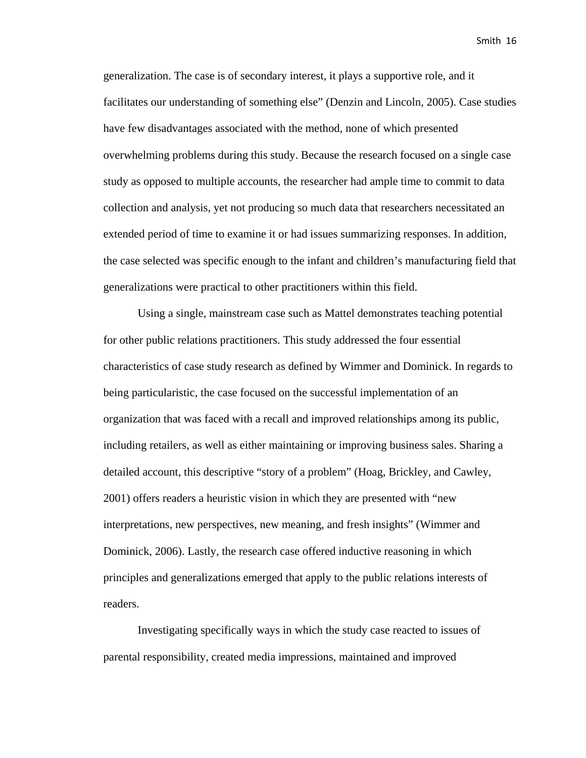generalization. The case is of secondary interest, it plays a supportive role, and it facilitates our understanding of something else" (Denzin and Lincoln, 2005). Case studies have few disadvantages associated with the method, none of which presented overwhelming problems during this study. Because the research focused on a single case study as opposed to multiple accounts, the researcher had ample time to commit to data collection and analysis, yet not producing so much data that researchers necessitated an extended period of time to examine it or had issues summarizing responses. In addition, the case selected was specific enough to the infant and children's manufacturing field that generalizations were practical to other practitioners within this field.

Using a single, mainstream case such as Mattel demonstrates teaching potential for other public relations practitioners. This study addressed the four essential characteristics of case study research as defined by Wimmer and Dominick. In regards to being particularistic, the case focused on the successful implementation of an organization that was faced with a recall and improved relationships among its public, including retailers, as well as either maintaining or improving business sales. Sharing a detailed account, this descriptive "story of a problem" (Hoag, Brickley, and Cawley, 2001) offers readers a heuristic vision in which they are presented with "new interpretations, new perspectives, new meaning, and fresh insights" (Wimmer and Dominick, 2006). Lastly, the research case offered inductive reasoning in which principles and generalizations emerged that apply to the public relations interests of readers.

Investigating specifically ways in which the study case reacted to issues of parental responsibility, created media impressions, maintained and improved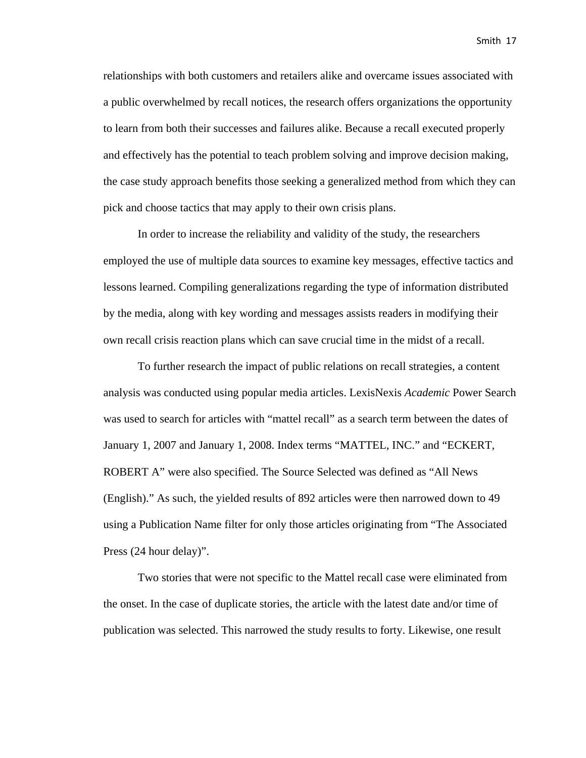relationships with both customers and retailers alike and overcame issues associated with a public overwhelmed by recall notices, the research offers organizations the opportunity to learn from both their successes and failures alike. Because a recall executed properly and effectively has the potential to teach problem solving and improve decision making, the case study approach benefits those seeking a generalized method from which they can pick and choose tactics that may apply to their own crisis plans.

In order to increase the reliability and validity of the study, the researchers employed the use of multiple data sources to examine key messages, effective tactics and lessons learned. Compiling generalizations regarding the type of information distributed by the media, along with key wording and messages assists readers in modifying their own recall crisis reaction plans which can save crucial time in the midst of a recall.

To further research the impact of public relations on recall strategies, a content analysis was conducted using popular media articles. LexisNexis *Academic* Power Search was used to search for articles with "mattel recall" as a search term between the dates of January 1, 2007 and January 1, 2008. Index terms "MATTEL, INC." and "ECKERT, ROBERT A" were also specified. The Source Selected was defined as "All News (English)." As such, the yielded results of 892 articles were then narrowed down to 49 using a Publication Name filter for only those articles originating from "The Associated Press (24 hour delay)".

Two stories that were not specific to the Mattel recall case were eliminated from the onset. In the case of duplicate stories, the article with the latest date and/or time of publication was selected. This narrowed the study results to forty. Likewise, one result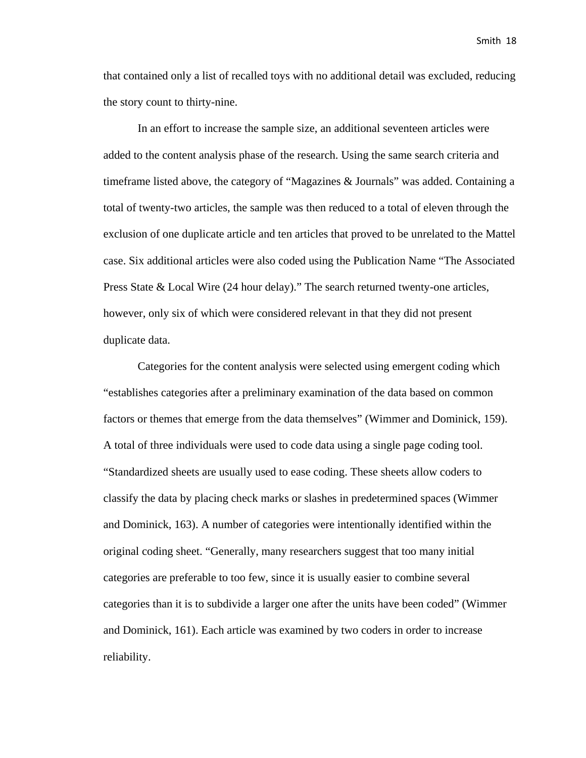that contained only a list of recalled toys with no additional detail was excluded, reducing the story count to thirty-nine.

In an effort to increase the sample size, an additional seventeen articles were added to the content analysis phase of the research. Using the same search criteria and timeframe listed above, the category of "Magazines & Journals" was added. Containing a total of twenty-two articles, the sample was then reduced to a total of eleven through the exclusion of one duplicate article and ten articles that proved to be unrelated to the Mattel case. Six additional articles were also coded using the Publication Name "The Associated Press State & Local Wire (24 hour delay)." The search returned twenty-one articles, however, only six of which were considered relevant in that they did not present duplicate data.

Categories for the content analysis were selected using emergent coding which "establishes categories after a preliminary examination of the data based on common factors or themes that emerge from the data themselves" (Wimmer and Dominick, 159). A total of three individuals were used to code data using a single page coding tool. "Standardized sheets are usually used to ease coding. These sheets allow coders to classify the data by placing check marks or slashes in predetermined spaces (Wimmer and Dominick, 163). A number of categories were intentionally identified within the original coding sheet. "Generally, many researchers suggest that too many initial categories are preferable to too few, since it is usually easier to combine several categories than it is to subdivide a larger one after the units have been coded" (Wimmer and Dominick, 161). Each article was examined by two coders in order to increase reliability.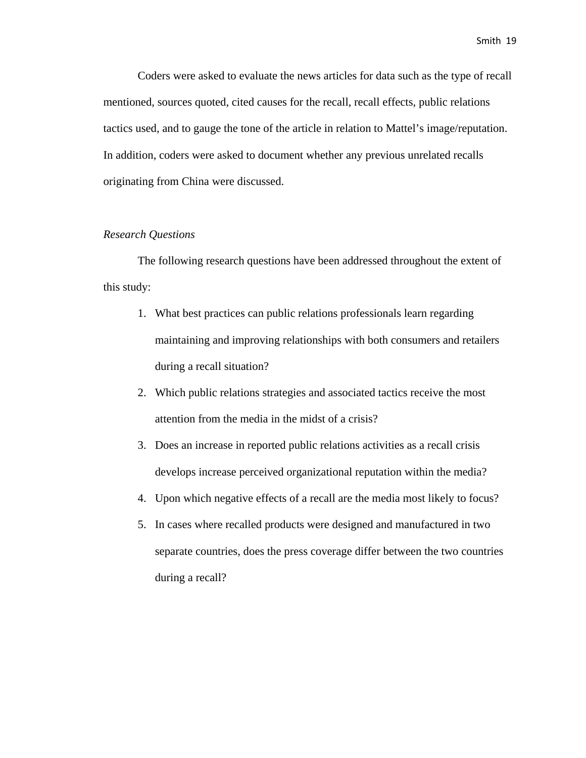Coders were asked to evaluate the news articles for data such as the type of recall mentioned, sources quoted, cited causes for the recall, recall effects, public relations tactics used, and to gauge the tone of the article in relation to Mattel's image/reputation. In addition, coders were asked to document whether any previous unrelated recalls originating from China were discussed.

#### *Research Questions*

The following research questions have been addressed throughout the extent of this study:

- 1. What best practices can public relations professionals learn regarding maintaining and improving relationships with both consumers and retailers during a recall situation?
- 2. Which public relations strategies and associated tactics receive the most attention from the media in the midst of a crisis?
- 3. Does an increase in reported public relations activities as a recall crisis develops increase perceived organizational reputation within the media?
- 4. Upon which negative effects of a recall are the media most likely to focus?
- 5. In cases where recalled products were designed and manufactured in two separate countries, does the press coverage differ between the two countries during a recall?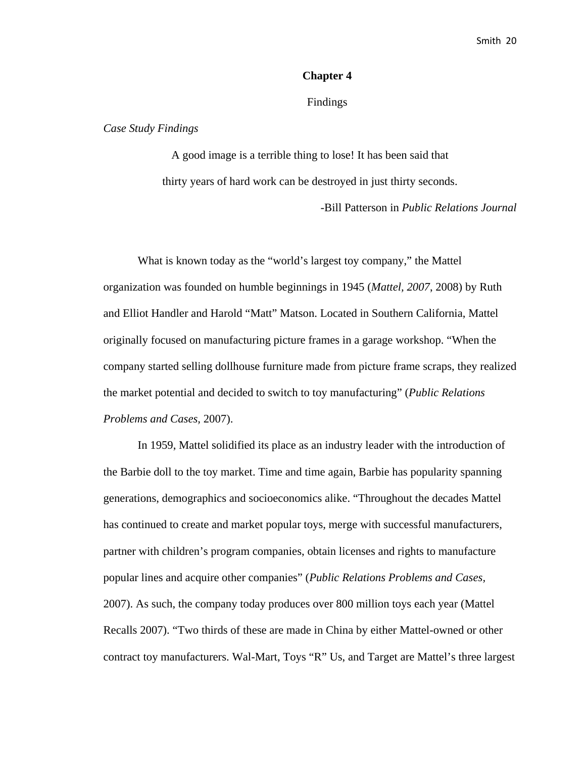#### **Chapter 4**

#### Findings

#### *Case Study Findings*

A good image is a terrible thing to lose! It has been said that thirty years of hard work can be destroyed in just thirty seconds.

-Bill Patterson in *Public Relations Journal*

What is known today as the "world's largest toy company," the Mattel organization was founded on humble beginnings in 1945 (*Mattel, 2007*, 2008) by Ruth and Elliot Handler and Harold "Matt" Matson. Located in Southern California, Mattel originally focused on manufacturing picture frames in a garage workshop. "When the company started selling dollhouse furniture made from picture frame scraps, they realized the market potential and decided to switch to toy manufacturing" (*Public Relations Problems and Cases,* 2007).

In 1959, Mattel solidified its place as an industry leader with the introduction of the Barbie doll to the toy market. Time and time again, Barbie has popularity spanning generations, demographics and socioeconomics alike. "Throughout the decades Mattel has continued to create and market popular toys, merge with successful manufacturers, partner with children's program companies, obtain licenses and rights to manufacture popular lines and acquire other companies" (*Public Relations Problems and Cases,*  2007). As such, the company today produces over 800 million toys each year (Mattel Recalls 2007). "Two thirds of these are made in China by either Mattel-owned or other contract toy manufacturers. Wal-Mart, Toys "R" Us, and Target are Mattel's three largest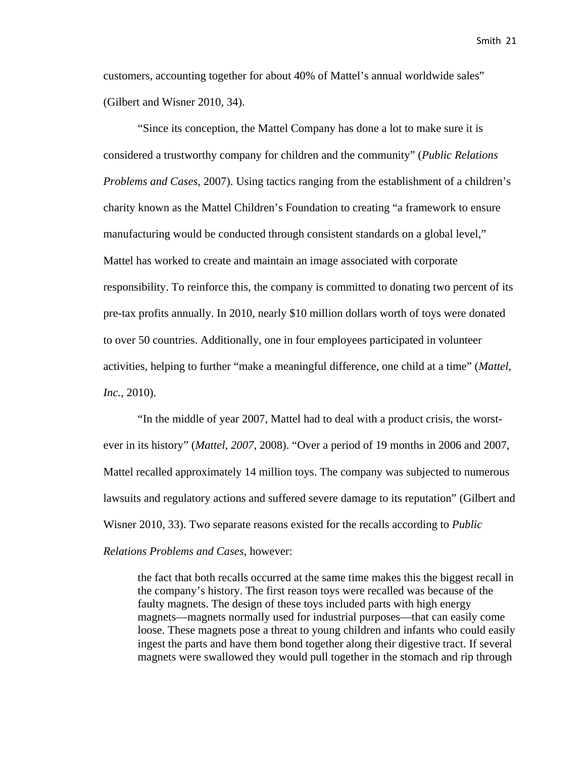customers, accounting together for about 40% of Mattel's annual worldwide sales" (Gilbert and Wisner 2010, 34).

"Since its conception, the Mattel Company has done a lot to make sure it is considered a trustworthy company for children and the community" (*Public Relations Problems and Cases,* 2007). Using tactics ranging from the establishment of a children's charity known as the Mattel Children's Foundation to creating "a framework to ensure manufacturing would be conducted through consistent standards on a global level," Mattel has worked to create and maintain an image associated with corporate responsibility. To reinforce this, the company is committed to donating two percent of its pre-tax profits annually. In 2010, nearly \$10 million dollars worth of toys were donated to over 50 countries. Additionally, one in four employees participated in volunteer activities, helping to further "make a meaningful difference, one child at a time" (*Mattel, Inc.*, 2010).

"In the middle of year 2007, Mattel had to deal with a product crisis, the worstever in its history" (*Mattel, 2007*, 2008). "Over a period of 19 months in 2006 and 2007, Mattel recalled approximately 14 million toys. The company was subjected to numerous lawsuits and regulatory actions and suffered severe damage to its reputation" (Gilbert and Wisner 2010, 33). Two separate reasons existed for the recalls according to *Public Relations Problems and Cases*, however:

the fact that both recalls occurred at the same time makes this the biggest recall in the company's history. The first reason toys were recalled was because of the faulty magnets. The design of these toys included parts with high energy magnets—magnets normally used for industrial purposes—that can easily come loose. These magnets pose a threat to young children and infants who could easily ingest the parts and have them bond together along their digestive tract. If several magnets were swallowed they would pull together in the stomach and rip through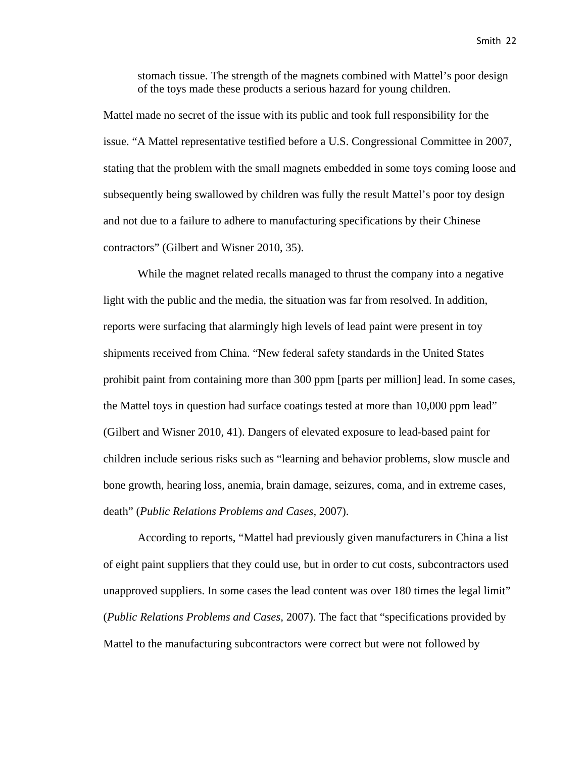stomach tissue. The strength of the magnets combined with Mattel's poor design of the toys made these products a serious hazard for young children.

Mattel made no secret of the issue with its public and took full responsibility for the issue. "A Mattel representative testified before a U.S. Congressional Committee in 2007, stating that the problem with the small magnets embedded in some toys coming loose and subsequently being swallowed by children was fully the result Mattel's poor toy design and not due to a failure to adhere to manufacturing specifications by their Chinese contractors" (Gilbert and Wisner 2010, 35).

While the magnet related recalls managed to thrust the company into a negative light with the public and the media, the situation was far from resolved. In addition, reports were surfacing that alarmingly high levels of lead paint were present in toy shipments received from China. "New federal safety standards in the United States prohibit paint from containing more than 300 ppm [parts per million] lead. In some cases, the Mattel toys in question had surface coatings tested at more than 10,000 ppm lead" (Gilbert and Wisner 2010, 41). Dangers of elevated exposure to lead-based paint for children include serious risks such as "learning and behavior problems, slow muscle and bone growth, hearing loss, anemia, brain damage, seizures, coma, and in extreme cases, death" (*Public Relations Problems and Cases,* 2007).

According to reports, "Mattel had previously given manufacturers in China a list of eight paint suppliers that they could use, but in order to cut costs, subcontractors used unapproved suppliers. In some cases the lead content was over 180 times the legal limit" (*Public Relations Problems and Cases,* 2007). The fact that "specifications provided by Mattel to the manufacturing subcontractors were correct but were not followed by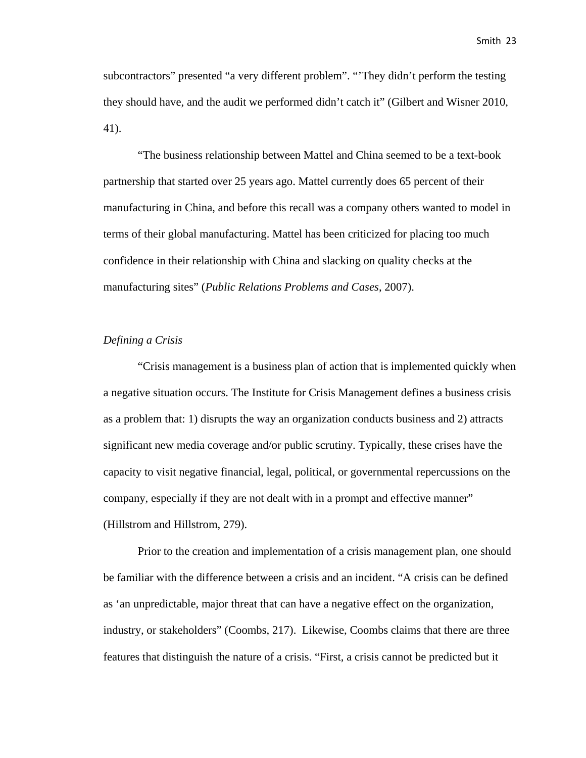subcontractors" presented "a very different problem". "'They didn't perform the testing they should have, and the audit we performed didn't catch it" (Gilbert and Wisner 2010, 41).

"The business relationship between Mattel and China seemed to be a text-book partnership that started over 25 years ago. Mattel currently does 65 percent of their manufacturing in China, and before this recall was a company others wanted to model in terms of their global manufacturing. Mattel has been criticized for placing too much confidence in their relationship with China and slacking on quality checks at the manufacturing sites" (*Public Relations Problems and Cases*, 2007).

#### *Defining a Crisis*

"Crisis management is a business plan of action that is implemented quickly when a negative situation occurs. The Institute for Crisis Management defines a business crisis as a problem that: 1) disrupts the way an organization conducts business and 2) attracts significant new media coverage and/or public scrutiny. Typically, these crises have the capacity to visit negative financial, legal, political, or governmental repercussions on the company, especially if they are not dealt with in a prompt and effective manner" (Hillstrom and Hillstrom, 279).

Prior to the creation and implementation of a crisis management plan, one should be familiar with the difference between a crisis and an incident. "A crisis can be defined as 'an unpredictable, major threat that can have a negative effect on the organization, industry, or stakeholders" (Coombs, 217). Likewise, Coombs claims that there are three features that distinguish the nature of a crisis. "First, a crisis cannot be predicted but it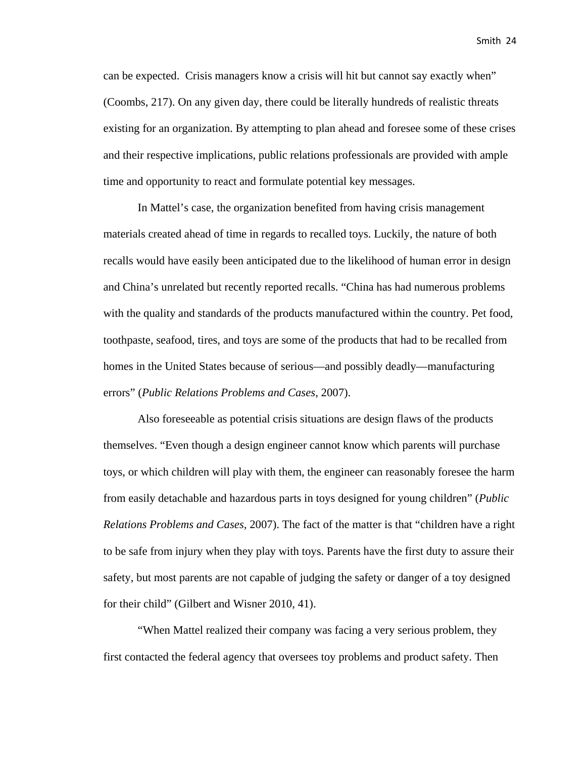can be expected. Crisis managers know a crisis will hit but cannot say exactly when" (Coombs, 217). On any given day, there could be literally hundreds of realistic threats existing for an organization. By attempting to plan ahead and foresee some of these crises and their respective implications, public relations professionals are provided with ample time and opportunity to react and formulate potential key messages.

In Mattel's case, the organization benefited from having crisis management materials created ahead of time in regards to recalled toys. Luckily, the nature of both recalls would have easily been anticipated due to the likelihood of human error in design and China's unrelated but recently reported recalls. "China has had numerous problems with the quality and standards of the products manufactured within the country. Pet food, toothpaste, seafood, tires, and toys are some of the products that had to be recalled from homes in the United States because of serious—and possibly deadly—manufacturing errors" (*Public Relations Problems and Cases*, 2007).

Also foreseeable as potential crisis situations are design flaws of the products themselves. "Even though a design engineer cannot know which parents will purchase toys, or which children will play with them, the engineer can reasonably foresee the harm from easily detachable and hazardous parts in toys designed for young children" (*Public Relations Problems and Cases*, 2007). The fact of the matter is that "children have a right to be safe from injury when they play with toys. Parents have the first duty to assure their safety, but most parents are not capable of judging the safety or danger of a toy designed for their child" (Gilbert and Wisner 2010, 41).

"When Mattel realized their company was facing a very serious problem, they first contacted the federal agency that oversees toy problems and product safety. Then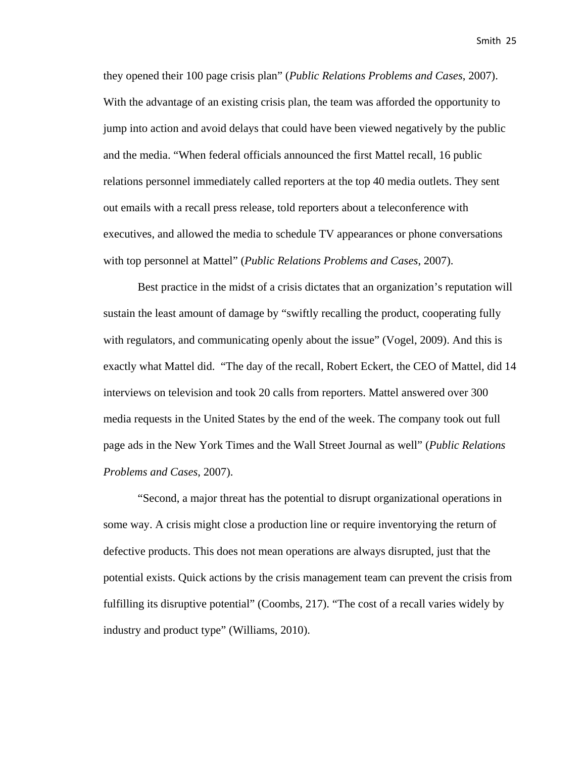they opened their 100 page crisis plan" (*Public Relations Problems and Cases*, 2007). With the advantage of an existing crisis plan, the team was afforded the opportunity to jump into action and avoid delays that could have been viewed negatively by the public and the media. "When federal officials announced the first Mattel recall, 16 public relations personnel immediately called reporters at the top 40 media outlets. They sent out emails with a recall press release, told reporters about a teleconference with executives, and allowed the media to schedule TV appearances or phone conversations with top personnel at Mattel" (*Public Relations Problems and Cases*, 2007).

Best practice in the midst of a crisis dictates that an organization's reputation will sustain the least amount of damage by "swiftly recalling the product, cooperating fully with regulators, and communicating openly about the issue" (Vogel, 2009). And this is exactly what Mattel did. "The day of the recall, Robert Eckert, the CEO of Mattel, did 14 interviews on television and took 20 calls from reporters. Mattel answered over 300 media requests in the United States by the end of the week. The company took out full page ads in the New York Times and the Wall Street Journal as well" (*Public Relations Problems and Cases*, 2007).

"Second, a major threat has the potential to disrupt organizational operations in some way. A crisis might close a production line or require inventorying the return of defective products. This does not mean operations are always disrupted, just that the potential exists. Quick actions by the crisis management team can prevent the crisis from fulfilling its disruptive potential" (Coombs, 217). "The cost of a recall varies widely by industry and product type" (Williams, 2010).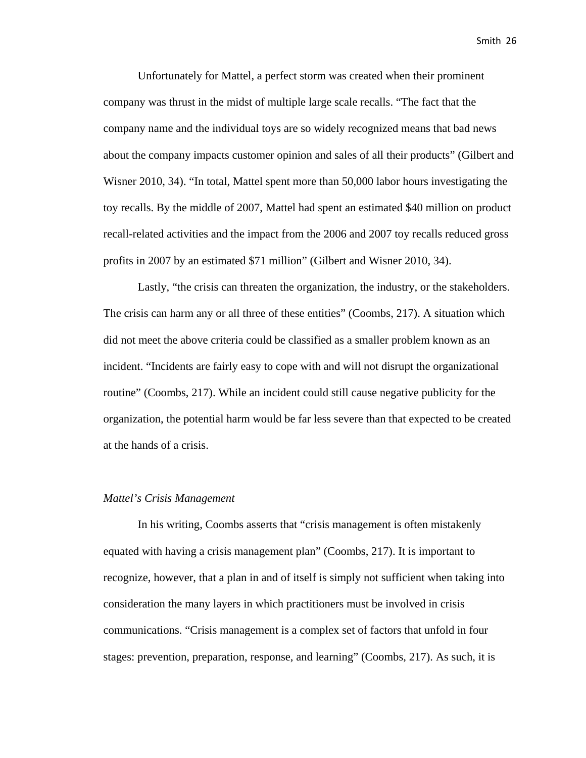Unfortunately for Mattel, a perfect storm was created when their prominent company was thrust in the midst of multiple large scale recalls. "The fact that the company name and the individual toys are so widely recognized means that bad news about the company impacts customer opinion and sales of all their products" (Gilbert and Wisner 2010, 34). "In total, Mattel spent more than 50,000 labor hours investigating the toy recalls. By the middle of 2007, Mattel had spent an estimated \$40 million on product recall-related activities and the impact from the 2006 and 2007 toy recalls reduced gross profits in 2007 by an estimated \$71 million" (Gilbert and Wisner 2010, 34).

Lastly, "the crisis can threaten the organization, the industry, or the stakeholders. The crisis can harm any or all three of these entities" (Coombs, 217). A situation which did not meet the above criteria could be classified as a smaller problem known as an incident. "Incidents are fairly easy to cope with and will not disrupt the organizational routine" (Coombs, 217). While an incident could still cause negative publicity for the organization, the potential harm would be far less severe than that expected to be created at the hands of a crisis.

#### *Mattel's Crisis Management*

In his writing, Coombs asserts that "crisis management is often mistakenly equated with having a crisis management plan" (Coombs, 217). It is important to recognize, however, that a plan in and of itself is simply not sufficient when taking into consideration the many layers in which practitioners must be involved in crisis communications. "Crisis management is a complex set of factors that unfold in four stages: prevention, preparation, response, and learning" (Coombs, 217). As such, it is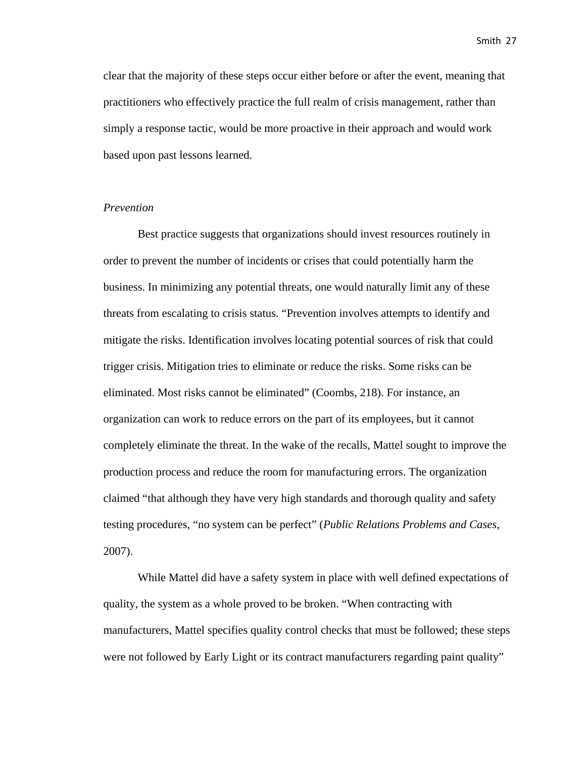clear that the majority of these steps occur either before or after the event, meaning that practitioners who effectively practice the full realm of crisis management, rather than simply a response tactic, would be more proactive in their approach and would work based upon past lessons learned.

#### *Prevention*

Best practice suggests that organizations should invest resources routinely in order to prevent the number of incidents or crises that could potentially harm the business. In minimizing any potential threats, one would naturally limit any of these threats from escalating to crisis status. "Prevention involves attempts to identify and mitigate the risks. Identification involves locating potential sources of risk that could trigger crisis. Mitigation tries to eliminate or reduce the risks. Some risks can be eliminated. Most risks cannot be eliminated" (Coombs, 218). For instance, an organization can work to reduce errors on the part of its employees, but it cannot completely eliminate the threat. In the wake of the recalls, Mattel sought to improve the production process and reduce the room for manufacturing errors. The organization claimed "that although they have very high standards and thorough quality and safety testing procedures, "no system can be perfect" (*Public Relations Problems and Cases*, 2007).

While Mattel did have a safety system in place with well defined expectations of quality, the system as a whole proved to be broken. "When contracting with manufacturers, Mattel specifies quality control checks that must be followed; these steps were not followed by Early Light or its contract manufacturers regarding paint quality"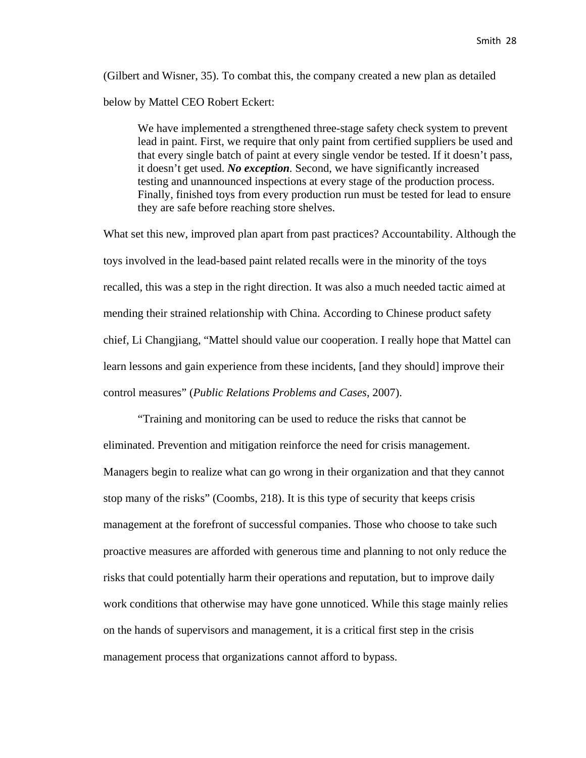(Gilbert and Wisner, 35). To combat this, the company created a new plan as detailed below by Mattel CEO Robert Eckert:

We have implemented a strengthened three-stage safety check system to prevent lead in paint. First, we require that only paint from certified suppliers be used and that every single batch of paint at every single vendor be tested. If it doesn't pass, it doesn't get used. *No exception.* Second, we have significantly increased testing and unannounced inspections at every stage of the production process. Finally, finished toys from every production run must be tested for lead to ensure they are safe before reaching store shelves.

What set this new, improved plan apart from past practices? Accountability. Although the toys involved in the lead-based paint related recalls were in the minority of the toys recalled, this was a step in the right direction. It was also a much needed tactic aimed at mending their strained relationship with China. According to Chinese product safety chief, Li Changjiang, "Mattel should value our cooperation. I really hope that Mattel can learn lessons and gain experience from these incidents, [and they should] improve their control measures" (*Public Relations Problems and Cases*, 2007).

"Training and monitoring can be used to reduce the risks that cannot be eliminated. Prevention and mitigation reinforce the need for crisis management. Managers begin to realize what can go wrong in their organization and that they cannot stop many of the risks" (Coombs, 218). It is this type of security that keeps crisis management at the forefront of successful companies. Those who choose to take such proactive measures are afforded with generous time and planning to not only reduce the risks that could potentially harm their operations and reputation, but to improve daily work conditions that otherwise may have gone unnoticed. While this stage mainly relies on the hands of supervisors and management, it is a critical first step in the crisis management process that organizations cannot afford to bypass.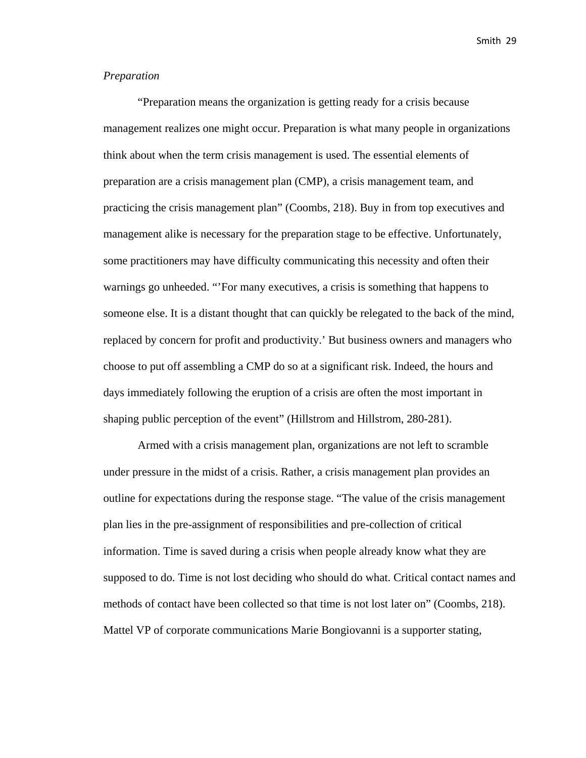#### *Preparation*

"Preparation means the organization is getting ready for a crisis because management realizes one might occur. Preparation is what many people in organizations think about when the term crisis management is used. The essential elements of preparation are a crisis management plan (CMP), a crisis management team, and practicing the crisis management plan" (Coombs, 218). Buy in from top executives and management alike is necessary for the preparation stage to be effective. Unfortunately, some practitioners may have difficulty communicating this necessity and often their warnings go unheeded. "'For many executives, a crisis is something that happens to someone else. It is a distant thought that can quickly be relegated to the back of the mind, replaced by concern for profit and productivity.' But business owners and managers who choose to put off assembling a CMP do so at a significant risk. Indeed, the hours and days immediately following the eruption of a crisis are often the most important in shaping public perception of the event" (Hillstrom and Hillstrom, 280-281).

Armed with a crisis management plan, organizations are not left to scramble under pressure in the midst of a crisis. Rather, a crisis management plan provides an outline for expectations during the response stage. "The value of the crisis management plan lies in the pre-assignment of responsibilities and pre-collection of critical information. Time is saved during a crisis when people already know what they are supposed to do. Time is not lost deciding who should do what. Critical contact names and methods of contact have been collected so that time is not lost later on" (Coombs, 218). Mattel VP of corporate communications Marie Bongiovanni is a supporter stating,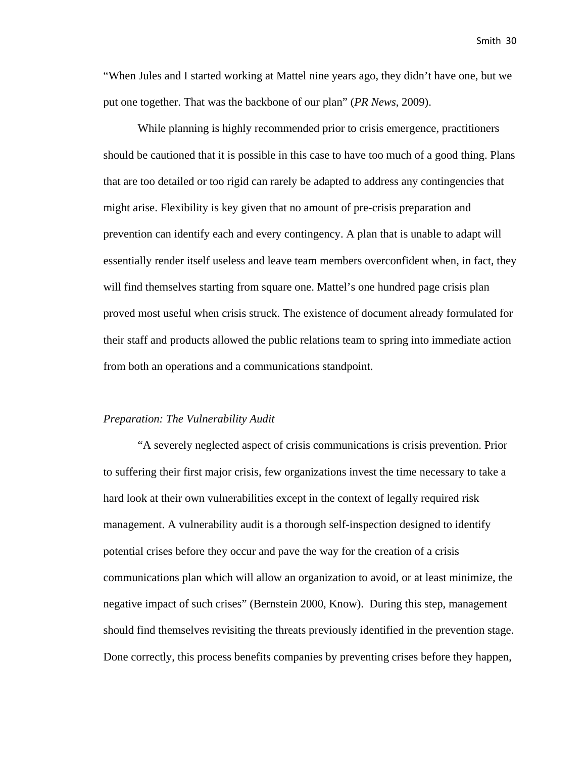"When Jules and I started working at Mattel nine years ago, they didn't have one, but we put one together. That was the backbone of our plan" (*PR News*, 2009).

While planning is highly recommended prior to crisis emergence, practitioners should be cautioned that it is possible in this case to have too much of a good thing. Plans that are too detailed or too rigid can rarely be adapted to address any contingencies that might arise. Flexibility is key given that no amount of pre-crisis preparation and prevention can identify each and every contingency. A plan that is unable to adapt will essentially render itself useless and leave team members overconfident when, in fact, they will find themselves starting from square one. Mattel's one hundred page crisis plan proved most useful when crisis struck. The existence of document already formulated for their staff and products allowed the public relations team to spring into immediate action from both an operations and a communications standpoint.

#### *Preparation: The Vulnerability Audit*

"A severely neglected aspect of crisis communications is crisis prevention. Prior to suffering their first major crisis, few organizations invest the time necessary to take a hard look at their own vulnerabilities except in the context of legally required risk management. A vulnerability audit is a thorough self-inspection designed to identify potential crises before they occur and pave the way for the creation of a crisis communications plan which will allow an organization to avoid, or at least minimize, the negative impact of such crises" (Bernstein 2000, Know). During this step, management should find themselves revisiting the threats previously identified in the prevention stage. Done correctly, this process benefits companies by preventing crises before they happen,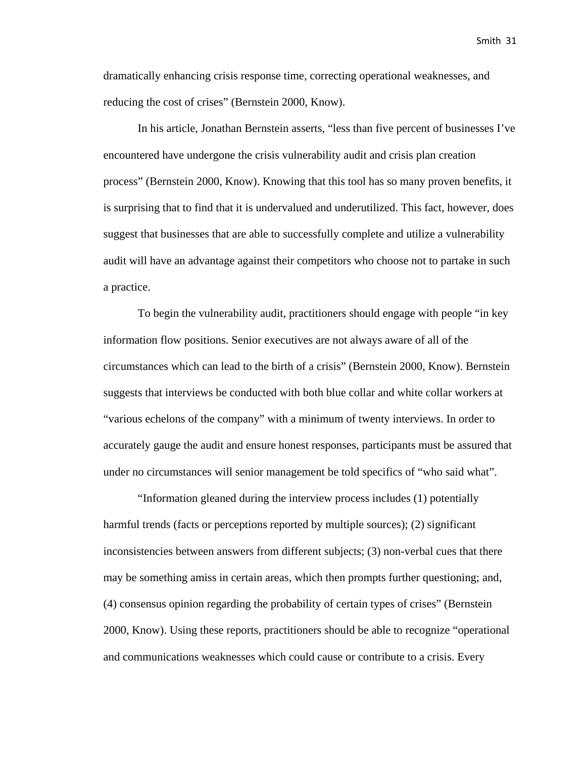dramatically enhancing crisis response time, correcting operational weaknesses, and reducing the cost of crises" (Bernstein 2000, Know).

In his article, Jonathan Bernstein asserts, "less than five percent of businesses I've encountered have undergone the crisis vulnerability audit and crisis plan creation process" (Bernstein 2000, Know). Knowing that this tool has so many proven benefits, it is surprising that to find that it is undervalued and underutilized. This fact, however, does suggest that businesses that are able to successfully complete and utilize a vulnerability audit will have an advantage against their competitors who choose not to partake in such a practice.

To begin the vulnerability audit, practitioners should engage with people "in key information flow positions. Senior executives are not always aware of all of the circumstances which can lead to the birth of a crisis" (Bernstein 2000, Know). Bernstein suggests that interviews be conducted with both blue collar and white collar workers at "various echelons of the company" with a minimum of twenty interviews. In order to accurately gauge the audit and ensure honest responses, participants must be assured that under no circumstances will senior management be told specifics of "who said what".

"Information gleaned during the interview process includes (1) potentially harmful trends (facts or perceptions reported by multiple sources); (2) significant inconsistencies between answers from different subjects; (3) non-verbal cues that there may be something amiss in certain areas, which then prompts further questioning; and, (4) consensus opinion regarding the probability of certain types of crises" (Bernstein 2000, Know). Using these reports, practitioners should be able to recognize "operational and communications weaknesses which could cause or contribute to a crisis. Every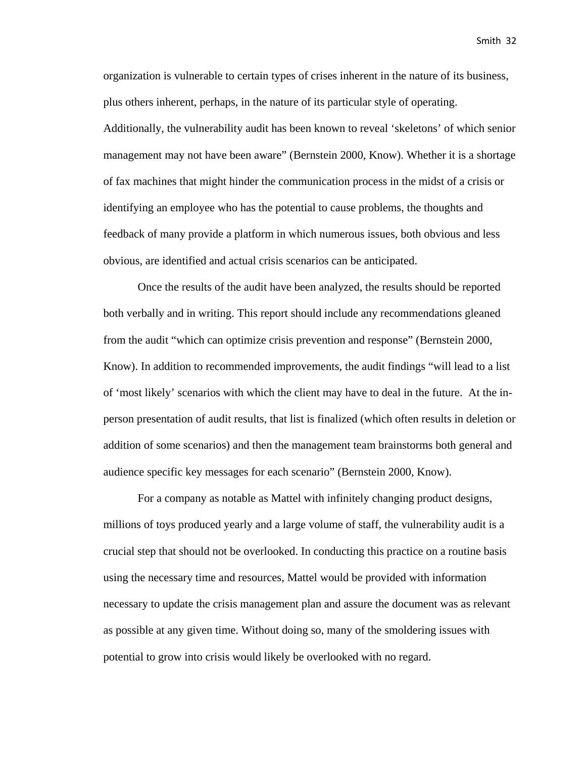organization is vulnerable to certain types of crises inherent in the nature of its business, plus others inherent, perhaps, in the nature of its particular style of operating. Additionally, the vulnerability audit has been known to reveal 'skeletons' of which senior management may not have been aware" (Bernstein 2000, Know). Whether it is a shortage of fax machines that might hinder the communication process in the midst of a crisis or identifying an employee who has the potential to cause problems, the thoughts and feedback of many provide a platform in which numerous issues, both obvious and less obvious, are identified and actual crisis scenarios can be anticipated.

Once the results of the audit have been analyzed, the results should be reported both verbally and in writing. This report should include any recommendations gleaned from the audit "which can optimize crisis prevention and response" (Bernstein 2000, Know). In addition to recommended improvements, the audit findings "will lead to a list of 'most likely' scenarios with which the client may have to deal in the future. At the inperson presentation of audit results, that list is finalized (which often results in deletion or addition of some scenarios) and then the management team brainstorms both general and audience specific key messages for each scenario" (Bernstein 2000, Know).

For a company as notable as Mattel with infinitely changing product designs, millions of toys produced yearly and a large volume of staff, the vulnerability audit is a crucial step that should not be overlooked. In conducting this practice on a routine basis using the necessary time and resources, Mattel would be provided with information necessary to update the crisis management plan and assure the document was as relevant as possible at any given time. Without doing so, many of the smoldering issues with potential to grow into crisis would likely be overlooked with no regard.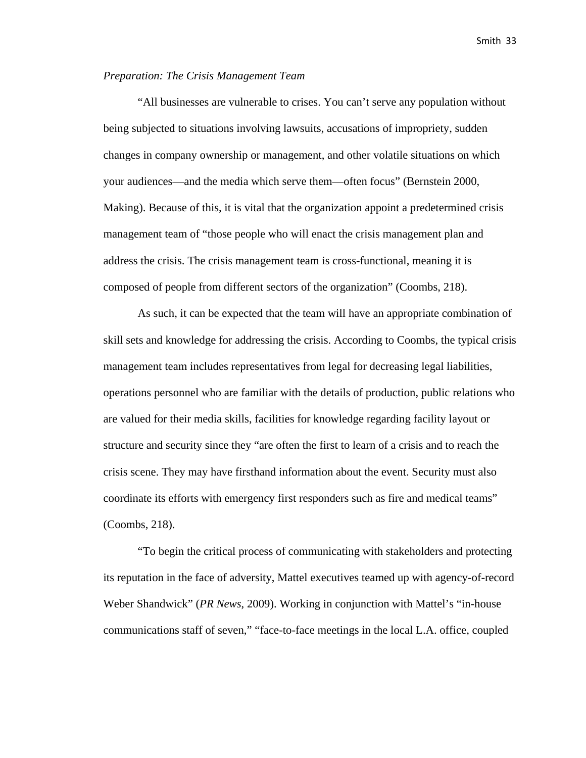#### *Preparation: The Crisis Management Team*

"All businesses are vulnerable to crises. You can't serve any population without being subjected to situations involving lawsuits, accusations of impropriety, sudden changes in company ownership or management, and other volatile situations on which your audiences—and the media which serve them—often focus" (Bernstein 2000, Making). Because of this, it is vital that the organization appoint a predetermined crisis management team of "those people who will enact the crisis management plan and address the crisis. The crisis management team is cross-functional, meaning it is composed of people from different sectors of the organization" (Coombs, 218).

As such, it can be expected that the team will have an appropriate combination of skill sets and knowledge for addressing the crisis. According to Coombs, the typical crisis management team includes representatives from legal for decreasing legal liabilities, operations personnel who are familiar with the details of production, public relations who are valued for their media skills, facilities for knowledge regarding facility layout or structure and security since they "are often the first to learn of a crisis and to reach the crisis scene. They may have firsthand information about the event. Security must also coordinate its efforts with emergency first responders such as fire and medical teams" (Coombs, 218).

"To begin the critical process of communicating with stakeholders and protecting its reputation in the face of adversity, Mattel executives teamed up with agency-of-record Weber Shandwick" (*PR News*, 2009). Working in conjunction with Mattel's "in-house communications staff of seven," "face-to-face meetings in the local L.A. office, coupled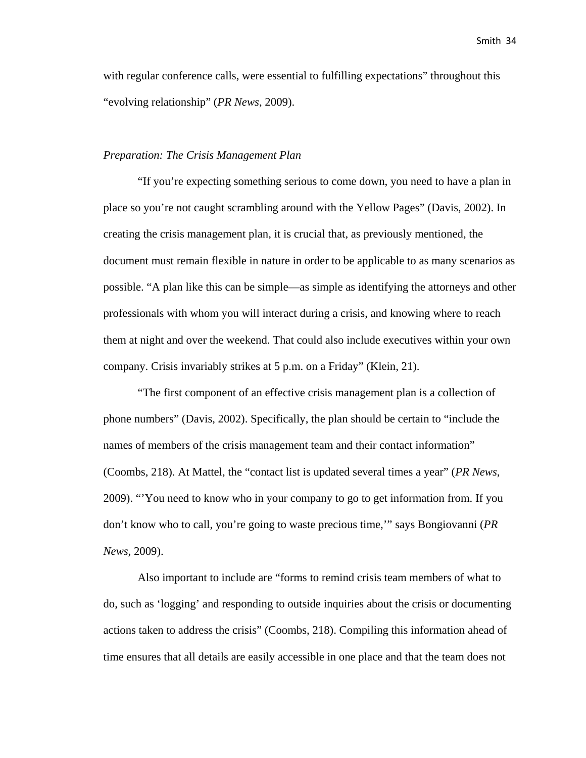with regular conference calls, were essential to fulfilling expectations" throughout this "evolving relationship" (*PR News*, 2009).

#### *Preparation: The Crisis Management Plan*

"If you're expecting something serious to come down, you need to have a plan in place so you're not caught scrambling around with the Yellow Pages" (Davis, 2002). In creating the crisis management plan, it is crucial that, as previously mentioned, the document must remain flexible in nature in order to be applicable to as many scenarios as possible. "A plan like this can be simple—as simple as identifying the attorneys and other professionals with whom you will interact during a crisis, and knowing where to reach them at night and over the weekend. That could also include executives within your own company. Crisis invariably strikes at 5 p.m. on a Friday" (Klein, 21).

"The first component of an effective crisis management plan is a collection of phone numbers" (Davis, 2002). Specifically, the plan should be certain to "include the names of members of the crisis management team and their contact information" (Coombs, 218). At Mattel, the "contact list is updated several times a year" (*PR News*, 2009). "'You need to know who in your company to go to get information from. If you don't know who to call, you're going to waste precious time,'" says Bongiovanni (*PR News*, 2009).

Also important to include are "forms to remind crisis team members of what to do, such as 'logging' and responding to outside inquiries about the crisis or documenting actions taken to address the crisis" (Coombs, 218). Compiling this information ahead of time ensures that all details are easily accessible in one place and that the team does not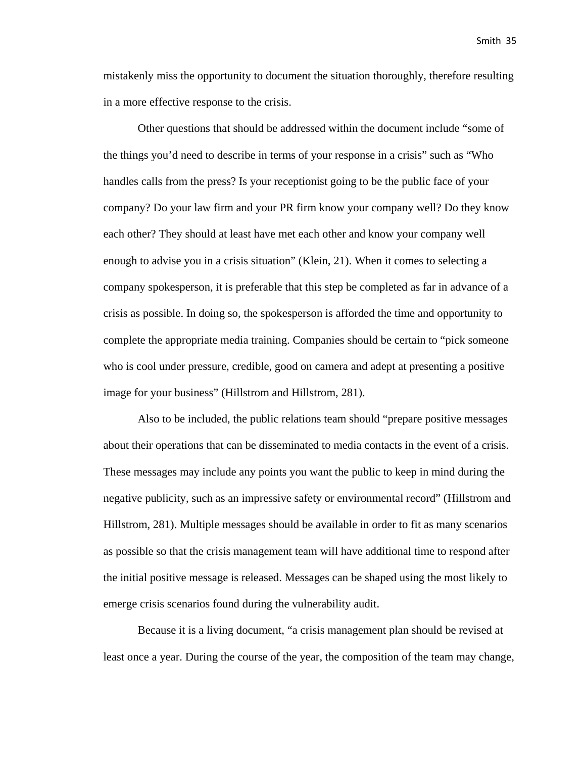mistakenly miss the opportunity to document the situation thoroughly, therefore resulting in a more effective response to the crisis.

Other questions that should be addressed within the document include "some of the things you'd need to describe in terms of your response in a crisis" such as "Who handles calls from the press? Is your receptionist going to be the public face of your company? Do your law firm and your PR firm know your company well? Do they know each other? They should at least have met each other and know your company well enough to advise you in a crisis situation" (Klein, 21). When it comes to selecting a company spokesperson, it is preferable that this step be completed as far in advance of a crisis as possible. In doing so, the spokesperson is afforded the time and opportunity to complete the appropriate media training. Companies should be certain to "pick someone who is cool under pressure, credible, good on camera and adept at presenting a positive image for your business" (Hillstrom and Hillstrom, 281).

Also to be included, the public relations team should "prepare positive messages about their operations that can be disseminated to media contacts in the event of a crisis. These messages may include any points you want the public to keep in mind during the negative publicity, such as an impressive safety or environmental record" (Hillstrom and Hillstrom, 281). Multiple messages should be available in order to fit as many scenarios as possible so that the crisis management team will have additional time to respond after the initial positive message is released. Messages can be shaped using the most likely to emerge crisis scenarios found during the vulnerability audit.

Because it is a living document, "a crisis management plan should be revised at least once a year. During the course of the year, the composition of the team may change,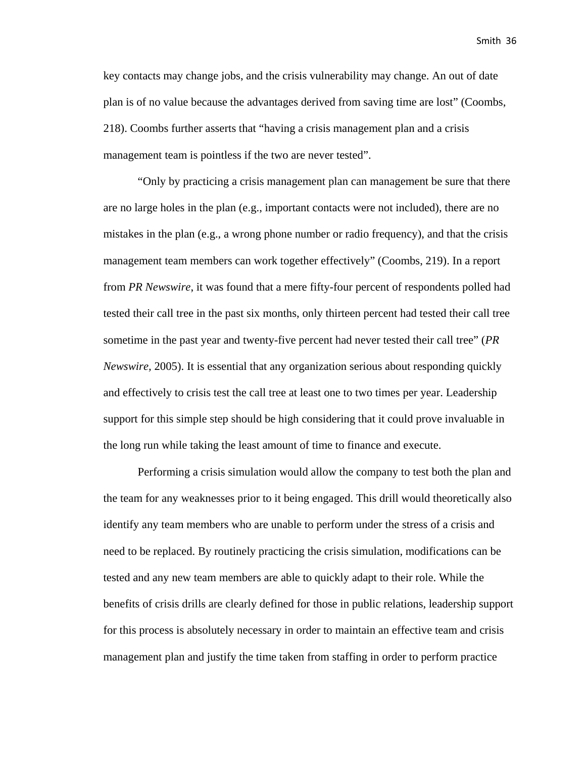key contacts may change jobs, and the crisis vulnerability may change. An out of date plan is of no value because the advantages derived from saving time are lost" (Coombs, 218). Coombs further asserts that "having a crisis management plan and a crisis management team is pointless if the two are never tested".

"Only by practicing a crisis management plan can management be sure that there are no large holes in the plan (e.g., important contacts were not included), there are no mistakes in the plan (e.g., a wrong phone number or radio frequency), and that the crisis management team members can work together effectively" (Coombs, 219). In a report from *PR Newswire*, it was found that a mere fifty-four percent of respondents polled had tested their call tree in the past six months, only thirteen percent had tested their call tree sometime in the past year and twenty-five percent had never tested their call tree" (*PR Newswire,* 2005). It is essential that any organization serious about responding quickly and effectively to crisis test the call tree at least one to two times per year. Leadership support for this simple step should be high considering that it could prove invaluable in the long run while taking the least amount of time to finance and execute.

Performing a crisis simulation would allow the company to test both the plan and the team for any weaknesses prior to it being engaged. This drill would theoretically also identify any team members who are unable to perform under the stress of a crisis and need to be replaced. By routinely practicing the crisis simulation, modifications can be tested and any new team members are able to quickly adapt to their role. While the benefits of crisis drills are clearly defined for those in public relations, leadership support for this process is absolutely necessary in order to maintain an effective team and crisis management plan and justify the time taken from staffing in order to perform practice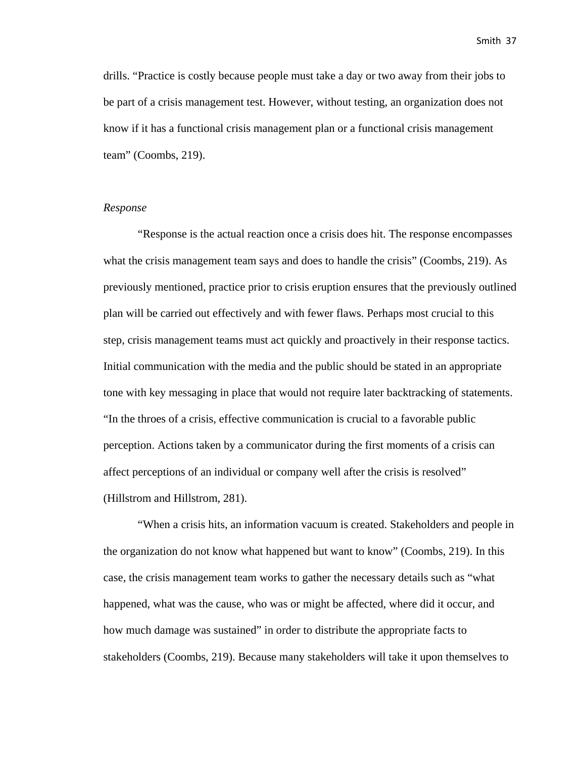drills. "Practice is costly because people must take a day or two away from their jobs to be part of a crisis management test. However, without testing, an organization does not know if it has a functional crisis management plan or a functional crisis management team" (Coombs, 219).

#### *Response*

"Response is the actual reaction once a crisis does hit. The response encompasses what the crisis management team says and does to handle the crisis" (Coombs, 219). As previously mentioned, practice prior to crisis eruption ensures that the previously outlined plan will be carried out effectively and with fewer flaws. Perhaps most crucial to this step, crisis management teams must act quickly and proactively in their response tactics. Initial communication with the media and the public should be stated in an appropriate tone with key messaging in place that would not require later backtracking of statements. "In the throes of a crisis, effective communication is crucial to a favorable public perception. Actions taken by a communicator during the first moments of a crisis can affect perceptions of an individual or company well after the crisis is resolved" (Hillstrom and Hillstrom, 281).

"When a crisis hits, an information vacuum is created. Stakeholders and people in the organization do not know what happened but want to know" (Coombs, 219). In this case, the crisis management team works to gather the necessary details such as "what happened, what was the cause, who was or might be affected, where did it occur, and how much damage was sustained" in order to distribute the appropriate facts to stakeholders (Coombs, 219). Because many stakeholders will take it upon themselves to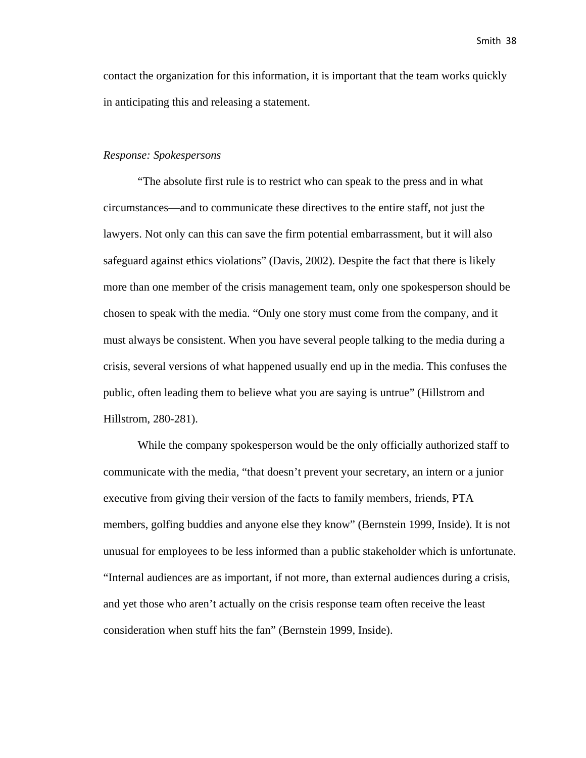contact the organization for this information, it is important that the team works quickly in anticipating this and releasing a statement.

#### *Response: Spokespersons*

"The absolute first rule is to restrict who can speak to the press and in what circumstances—and to communicate these directives to the entire staff, not just the lawyers. Not only can this can save the firm potential embarrassment, but it will also safeguard against ethics violations" (Davis, 2002). Despite the fact that there is likely more than one member of the crisis management team, only one spokesperson should be chosen to speak with the media. "Only one story must come from the company, and it must always be consistent. When you have several people talking to the media during a crisis, several versions of what happened usually end up in the media. This confuses the public, often leading them to believe what you are saying is untrue" (Hillstrom and Hillstrom, 280-281).

While the company spokesperson would be the only officially authorized staff to communicate with the media, "that doesn't prevent your secretary, an intern or a junior executive from giving their version of the facts to family members, friends, PTA members, golfing buddies and anyone else they know" (Bernstein 1999, Inside). It is not unusual for employees to be less informed than a public stakeholder which is unfortunate. "Internal audiences are as important, if not more, than external audiences during a crisis, and yet those who aren't actually on the crisis response team often receive the least consideration when stuff hits the fan" (Bernstein 1999, Inside).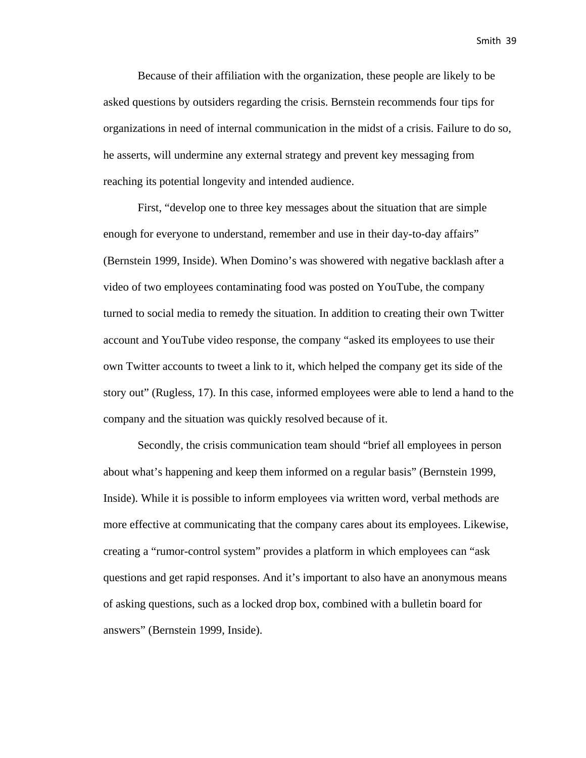Because of their affiliation with the organization, these people are likely to be asked questions by outsiders regarding the crisis. Bernstein recommends four tips for organizations in need of internal communication in the midst of a crisis. Failure to do so, he asserts, will undermine any external strategy and prevent key messaging from reaching its potential longevity and intended audience.

First, "develop one to three key messages about the situation that are simple enough for everyone to understand, remember and use in their day-to-day affairs" (Bernstein 1999, Inside). When Domino's was showered with negative backlash after a video of two employees contaminating food was posted on YouTube, the company turned to social media to remedy the situation. In addition to creating their own Twitter account and YouTube video response, the company "asked its employees to use their own Twitter accounts to tweet a link to it, which helped the company get its side of the story out" (Rugless, 17). In this case, informed employees were able to lend a hand to the company and the situation was quickly resolved because of it.

Secondly, the crisis communication team should "brief all employees in person about what's happening and keep them informed on a regular basis" (Bernstein 1999, Inside). While it is possible to inform employees via written word, verbal methods are more effective at communicating that the company cares about its employees. Likewise, creating a "rumor-control system" provides a platform in which employees can "ask questions and get rapid responses. And it's important to also have an anonymous means of asking questions, such as a locked drop box, combined with a bulletin board for answers" (Bernstein 1999, Inside).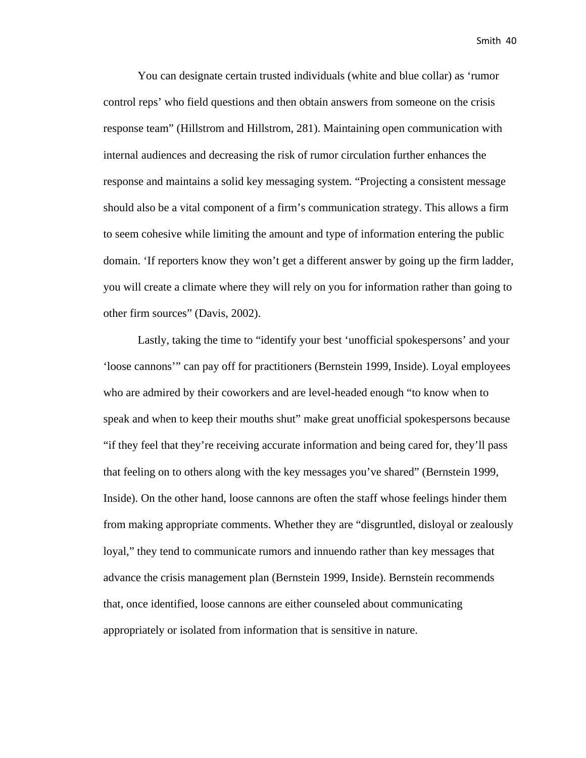You can designate certain trusted individuals (white and blue collar) as 'rumor control reps' who field questions and then obtain answers from someone on the crisis response team" (Hillstrom and Hillstrom, 281). Maintaining open communication with internal audiences and decreasing the risk of rumor circulation further enhances the response and maintains a solid key messaging system. "Projecting a consistent message should also be a vital component of a firm's communication strategy. This allows a firm to seem cohesive while limiting the amount and type of information entering the public domain. 'If reporters know they won't get a different answer by going up the firm ladder, you will create a climate where they will rely on you for information rather than going to other firm sources" (Davis, 2002).

Lastly, taking the time to "identify your best 'unofficial spokespersons' and your 'loose cannons'" can pay off for practitioners (Bernstein 1999, Inside). Loyal employees who are admired by their coworkers and are level-headed enough "to know when to speak and when to keep their mouths shut" make great unofficial spokespersons because "if they feel that they're receiving accurate information and being cared for, they'll pass that feeling on to others along with the key messages you've shared" (Bernstein 1999, Inside). On the other hand, loose cannons are often the staff whose feelings hinder them from making appropriate comments. Whether they are "disgruntled, disloyal or zealously loyal," they tend to communicate rumors and innuendo rather than key messages that advance the crisis management plan (Bernstein 1999, Inside). Bernstein recommends that, once identified, loose cannons are either counseled about communicating appropriately or isolated from information that is sensitive in nature.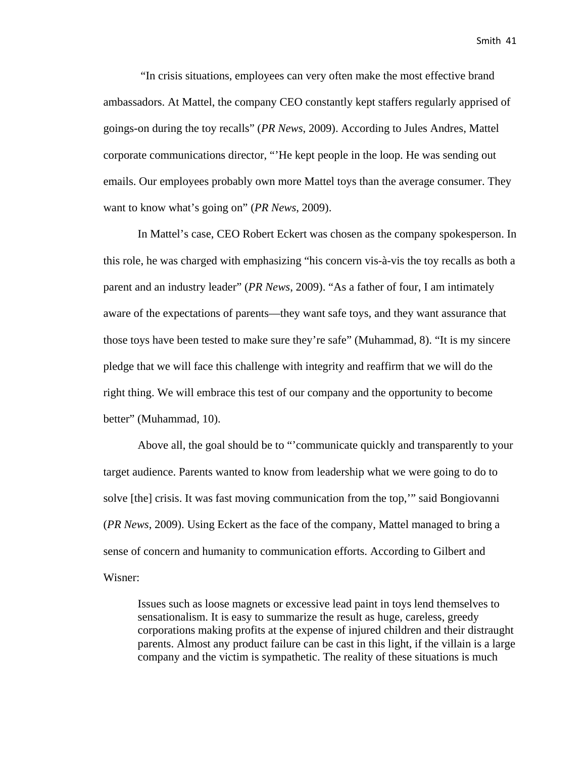"In crisis situations, employees can very often make the most effective brand ambassadors. At Mattel, the company CEO constantly kept staffers regularly apprised of goings-on during the toy recalls" (*PR News*, 2009). According to Jules Andres, Mattel corporate communications director, "'He kept people in the loop. He was sending out emails. Our employees probably own more Mattel toys than the average consumer. They want to know what's going on" (*PR News*, 2009).

In Mattel's case, CEO Robert Eckert was chosen as the company spokesperson. In this role, he was charged with emphasizing "his concern vis-à-vis the toy recalls as both a parent and an industry leader" (*PR News*, 2009). "As a father of four, I am intimately aware of the expectations of parents—they want safe toys, and they want assurance that those toys have been tested to make sure they're safe" (Muhammad, 8). "It is my sincere pledge that we will face this challenge with integrity and reaffirm that we will do the right thing. We will embrace this test of our company and the opportunity to become better" (Muhammad, 10).

Above all, the goal should be to "'communicate quickly and transparently to your target audience. Parents wanted to know from leadership what we were going to do to solve [the] crisis. It was fast moving communication from the top,'" said Bongiovanni (*PR News*, 2009). Using Eckert as the face of the company, Mattel managed to bring a sense of concern and humanity to communication efforts. According to Gilbert and Wisner:

Issues such as loose magnets or excessive lead paint in toys lend themselves to sensationalism. It is easy to summarize the result as huge, careless, greedy corporations making profits at the expense of injured children and their distraught parents. Almost any product failure can be cast in this light, if the villain is a large company and the victim is sympathetic. The reality of these situations is much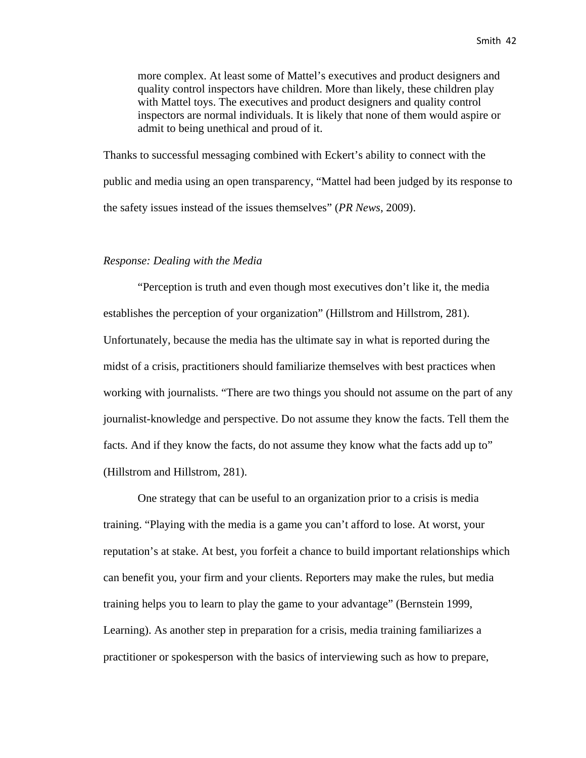more complex. At least some of Mattel's executives and product designers and quality control inspectors have children. More than likely, these children play with Mattel toys. The executives and product designers and quality control inspectors are normal individuals. It is likely that none of them would aspire or admit to being unethical and proud of it.

Thanks to successful messaging combined with Eckert's ability to connect with the public and media using an open transparency, "Mattel had been judged by its response to the safety issues instead of the issues themselves" (*PR News*, 2009).

#### *Response: Dealing with the Media*

"Perception is truth and even though most executives don't like it, the media establishes the perception of your organization" (Hillstrom and Hillstrom, 281). Unfortunately, because the media has the ultimate say in what is reported during the midst of a crisis, practitioners should familiarize themselves with best practices when working with journalists. "There are two things you should not assume on the part of any journalist-knowledge and perspective. Do not assume they know the facts. Tell them the facts. And if they know the facts, do not assume they know what the facts add up to" (Hillstrom and Hillstrom, 281).

One strategy that can be useful to an organization prior to a crisis is media training. "Playing with the media is a game you can't afford to lose. At worst, your reputation's at stake. At best, you forfeit a chance to build important relationships which can benefit you, your firm and your clients. Reporters may make the rules, but media training helps you to learn to play the game to your advantage" (Bernstein 1999, Learning). As another step in preparation for a crisis, media training familiarizes a practitioner or spokesperson with the basics of interviewing such as how to prepare,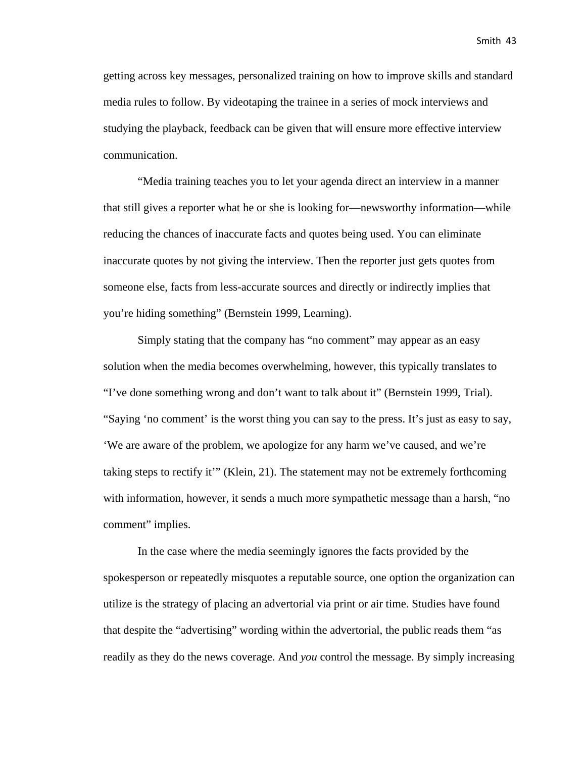getting across key messages, personalized training on how to improve skills and standard media rules to follow. By videotaping the trainee in a series of mock interviews and studying the playback, feedback can be given that will ensure more effective interview communication.

"Media training teaches you to let your agenda direct an interview in a manner that still gives a reporter what he or she is looking for—newsworthy information—while reducing the chances of inaccurate facts and quotes being used. You can eliminate inaccurate quotes by not giving the interview. Then the reporter just gets quotes from someone else, facts from less-accurate sources and directly or indirectly implies that you're hiding something" (Bernstein 1999, Learning).

Simply stating that the company has "no comment" may appear as an easy solution when the media becomes overwhelming, however, this typically translates to "I've done something wrong and don't want to talk about it" (Bernstein 1999, Trial). "Saying 'no comment' is the worst thing you can say to the press. It's just as easy to say, 'We are aware of the problem, we apologize for any harm we've caused, and we're taking steps to rectify it'" (Klein, 21). The statement may not be extremely forthcoming with information, however, it sends a much more sympathetic message than a harsh, "no comment" implies.

In the case where the media seemingly ignores the facts provided by the spokesperson or repeatedly misquotes a reputable source, one option the organization can utilize is the strategy of placing an advertorial via print or air time. Studies have found that despite the "advertising" wording within the advertorial, the public reads them "as readily as they do the news coverage. And *you* control the message. By simply increasing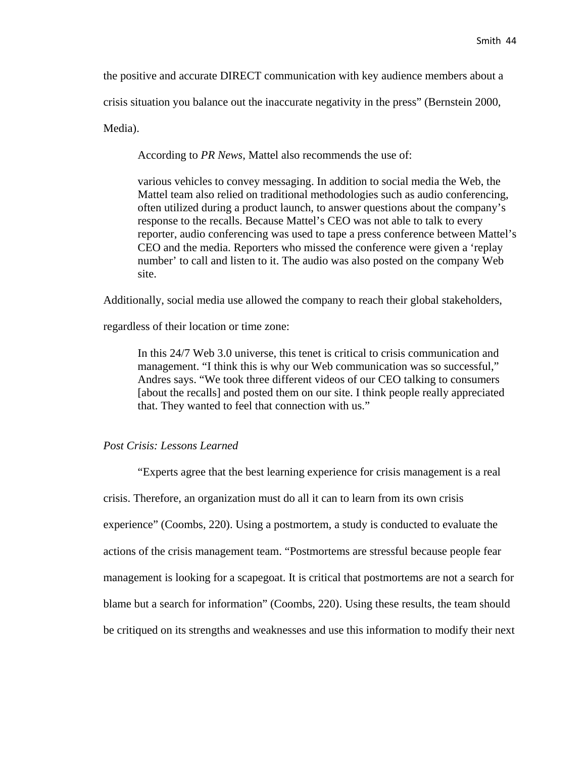the positive and accurate DIRECT communication with key audience members about a

crisis situation you balance out the inaccurate negativity in the press" (Bernstein 2000,

Media).

According to *PR News*, Mattel also recommends the use of:

various vehicles to convey messaging. In addition to social media the Web, the Mattel team also relied on traditional methodologies such as audio conferencing, often utilized during a product launch, to answer questions about the company's response to the recalls. Because Mattel's CEO was not able to talk to every reporter, audio conferencing was used to tape a press conference between Mattel's CEO and the media. Reporters who missed the conference were given a 'replay number' to call and listen to it. The audio was also posted on the company Web site.

Additionally, social media use allowed the company to reach their global stakeholders,

regardless of their location or time zone:

In this 24/7 Web 3.0 universe, this tenet is critical to crisis communication and management. "I think this is why our Web communication was so successful," Andres says. "We took three different videos of our CEO talking to consumers [about the recalls] and posted them on our site. I think people really appreciated that. They wanted to feel that connection with us."

#### *Post Crisis: Lessons Learned*

"Experts agree that the best learning experience for crisis management is a real crisis. Therefore, an organization must do all it can to learn from its own crisis experience" (Coombs, 220). Using a postmortem, a study is conducted to evaluate the actions of the crisis management team. "Postmortems are stressful because people fear management is looking for a scapegoat. It is critical that postmortems are not a search for blame but a search for information" (Coombs, 220). Using these results, the team should be critiqued on its strengths and weaknesses and use this information to modify their next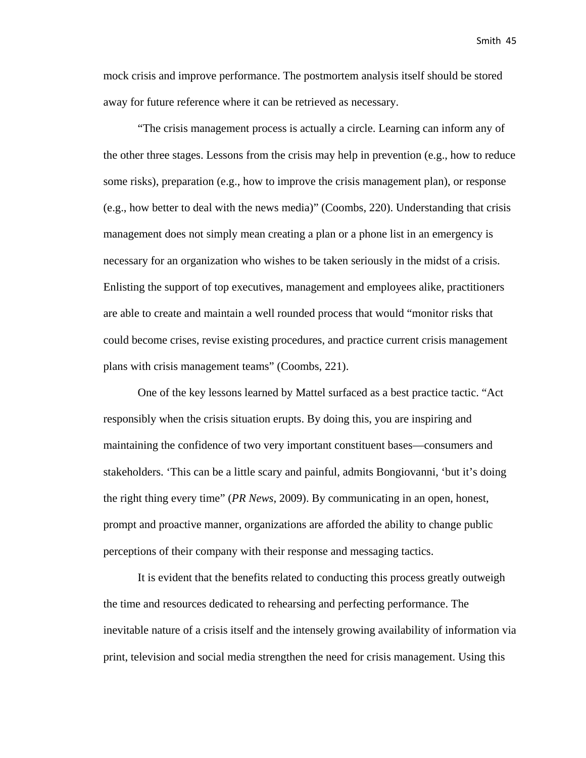mock crisis and improve performance. The postmortem analysis itself should be stored away for future reference where it can be retrieved as necessary.

"The crisis management process is actually a circle. Learning can inform any of the other three stages. Lessons from the crisis may help in prevention (e.g., how to reduce some risks), preparation (e.g., how to improve the crisis management plan), or response (e.g., how better to deal with the news media)" (Coombs, 220). Understanding that crisis management does not simply mean creating a plan or a phone list in an emergency is necessary for an organization who wishes to be taken seriously in the midst of a crisis. Enlisting the support of top executives, management and employees alike, practitioners are able to create and maintain a well rounded process that would "monitor risks that could become crises, revise existing procedures, and practice current crisis management plans with crisis management teams" (Coombs, 221).

One of the key lessons learned by Mattel surfaced as a best practice tactic. "Act responsibly when the crisis situation erupts. By doing this, you are inspiring and maintaining the confidence of two very important constituent bases—consumers and stakeholders. 'This can be a little scary and painful, admits Bongiovanni, 'but it's doing the right thing every time" (*PR News*, 2009). By communicating in an open, honest, prompt and proactive manner, organizations are afforded the ability to change public perceptions of their company with their response and messaging tactics.

It is evident that the benefits related to conducting this process greatly outweigh the time and resources dedicated to rehearsing and perfecting performance. The inevitable nature of a crisis itself and the intensely growing availability of information via print, television and social media strengthen the need for crisis management. Using this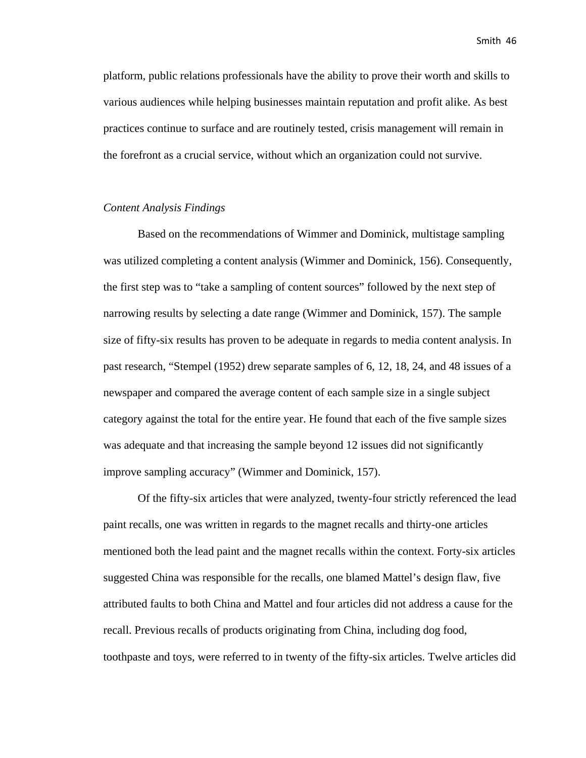platform, public relations professionals have the ability to prove their worth and skills to various audiences while helping businesses maintain reputation and profit alike. As best practices continue to surface and are routinely tested, crisis management will remain in the forefront as a crucial service, without which an organization could not survive.

#### *Content Analysis Findings*

Based on the recommendations of Wimmer and Dominick, multistage sampling was utilized completing a content analysis (Wimmer and Dominick, 156). Consequently, the first step was to "take a sampling of content sources" followed by the next step of narrowing results by selecting a date range (Wimmer and Dominick, 157). The sample size of fifty-six results has proven to be adequate in regards to media content analysis. In past research, "Stempel (1952) drew separate samples of 6, 12, 18, 24, and 48 issues of a newspaper and compared the average content of each sample size in a single subject category against the total for the entire year. He found that each of the five sample sizes was adequate and that increasing the sample beyond 12 issues did not significantly improve sampling accuracy" (Wimmer and Dominick, 157).

Of the fifty-six articles that were analyzed, twenty-four strictly referenced the lead paint recalls, one was written in regards to the magnet recalls and thirty-one articles mentioned both the lead paint and the magnet recalls within the context. Forty-six articles suggested China was responsible for the recalls, one blamed Mattel's design flaw, five attributed faults to both China and Mattel and four articles did not address a cause for the recall. Previous recalls of products originating from China, including dog food, toothpaste and toys, were referred to in twenty of the fifty-six articles. Twelve articles did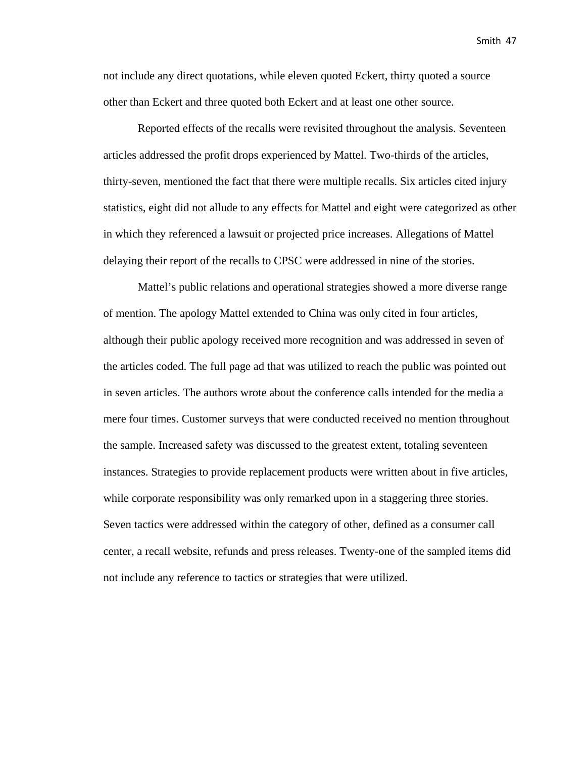not include any direct quotations, while eleven quoted Eckert, thirty quoted a source other than Eckert and three quoted both Eckert and at least one other source.

Reported effects of the recalls were revisited throughout the analysis. Seventeen articles addressed the profit drops experienced by Mattel. Two-thirds of the articles, thirty-seven, mentioned the fact that there were multiple recalls. Six articles cited injury statistics, eight did not allude to any effects for Mattel and eight were categorized as other in which they referenced a lawsuit or projected price increases. Allegations of Mattel delaying their report of the recalls to CPSC were addressed in nine of the stories.

Mattel's public relations and operational strategies showed a more diverse range of mention. The apology Mattel extended to China was only cited in four articles, although their public apology received more recognition and was addressed in seven of the articles coded. The full page ad that was utilized to reach the public was pointed out in seven articles. The authors wrote about the conference calls intended for the media a mere four times. Customer surveys that were conducted received no mention throughout the sample. Increased safety was discussed to the greatest extent, totaling seventeen instances. Strategies to provide replacement products were written about in five articles, while corporate responsibility was only remarked upon in a staggering three stories. Seven tactics were addressed within the category of other, defined as a consumer call center, a recall website, refunds and press releases. Twenty-one of the sampled items did not include any reference to tactics or strategies that were utilized.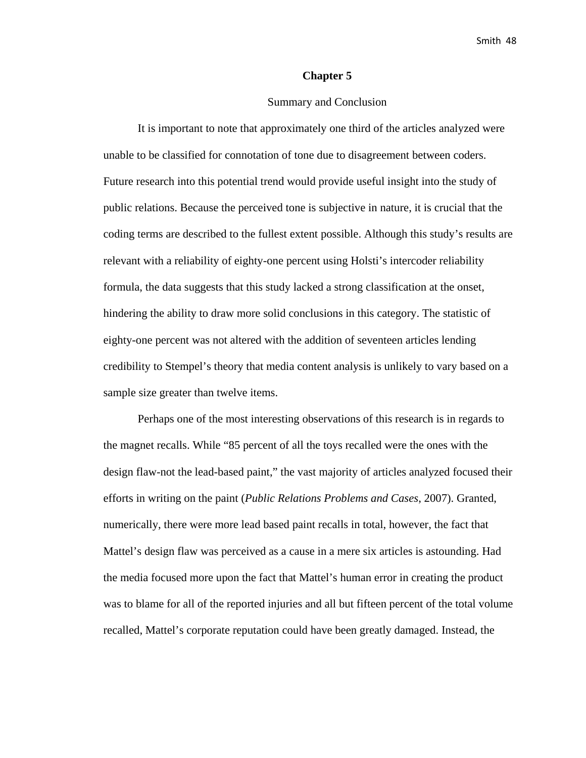#### **Chapter 5**

#### Summary and Conclusion

It is important to note that approximately one third of the articles analyzed were unable to be classified for connotation of tone due to disagreement between coders. Future research into this potential trend would provide useful insight into the study of public relations. Because the perceived tone is subjective in nature, it is crucial that the coding terms are described to the fullest extent possible. Although this study's results are relevant with a reliability of eighty-one percent using Holsti's intercoder reliability formula, the data suggests that this study lacked a strong classification at the onset, hindering the ability to draw more solid conclusions in this category. The statistic of eighty-one percent was not altered with the addition of seventeen articles lending credibility to Stempel's theory that media content analysis is unlikely to vary based on a sample size greater than twelve items.

Perhaps one of the most interesting observations of this research is in regards to the magnet recalls. While "85 percent of all the toys recalled were the ones with the design flaw-not the lead-based paint," the vast majority of articles analyzed focused their efforts in writing on the paint (*Public Relations Problems and Cases*, 2007). Granted, numerically, there were more lead based paint recalls in total, however, the fact that Mattel's design flaw was perceived as a cause in a mere six articles is astounding. Had the media focused more upon the fact that Mattel's human error in creating the product was to blame for all of the reported injuries and all but fifteen percent of the total volume recalled, Mattel's corporate reputation could have been greatly damaged. Instead, the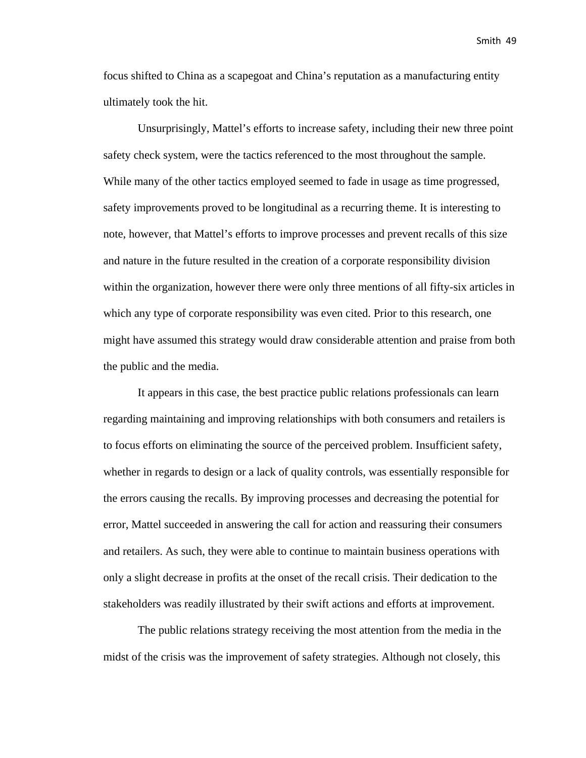focus shifted to China as a scapegoat and China's reputation as a manufacturing entity ultimately took the hit.

Unsurprisingly, Mattel's efforts to increase safety, including their new three point safety check system, were the tactics referenced to the most throughout the sample. While many of the other tactics employed seemed to fade in usage as time progressed, safety improvements proved to be longitudinal as a recurring theme. It is interesting to note, however, that Mattel's efforts to improve processes and prevent recalls of this size and nature in the future resulted in the creation of a corporate responsibility division within the organization, however there were only three mentions of all fifty-six articles in which any type of corporate responsibility was even cited. Prior to this research, one might have assumed this strategy would draw considerable attention and praise from both the public and the media.

It appears in this case, the best practice public relations professionals can learn regarding maintaining and improving relationships with both consumers and retailers is to focus efforts on eliminating the source of the perceived problem. Insufficient safety, whether in regards to design or a lack of quality controls, was essentially responsible for the errors causing the recalls. By improving processes and decreasing the potential for error, Mattel succeeded in answering the call for action and reassuring their consumers and retailers. As such, they were able to continue to maintain business operations with only a slight decrease in profits at the onset of the recall crisis. Their dedication to the stakeholders was readily illustrated by their swift actions and efforts at improvement.

The public relations strategy receiving the most attention from the media in the midst of the crisis was the improvement of safety strategies. Although not closely, this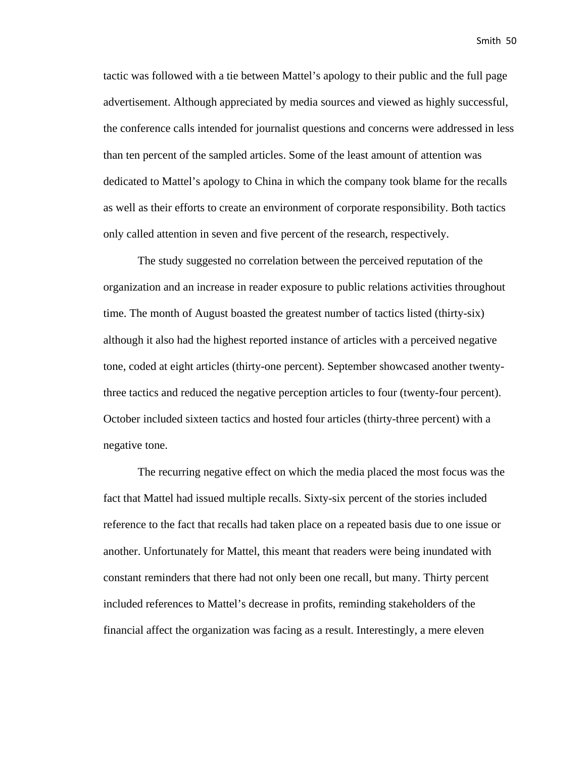tactic was followed with a tie between Mattel's apology to their public and the full page advertisement. Although appreciated by media sources and viewed as highly successful, the conference calls intended for journalist questions and concerns were addressed in less than ten percent of the sampled articles. Some of the least amount of attention was dedicated to Mattel's apology to China in which the company took blame for the recalls as well as their efforts to create an environment of corporate responsibility. Both tactics only called attention in seven and five percent of the research, respectively.

The study suggested no correlation between the perceived reputation of the organization and an increase in reader exposure to public relations activities throughout time. The month of August boasted the greatest number of tactics listed (thirty-six) although it also had the highest reported instance of articles with a perceived negative tone, coded at eight articles (thirty-one percent). September showcased another twentythree tactics and reduced the negative perception articles to four (twenty-four percent). October included sixteen tactics and hosted four articles (thirty-three percent) with a negative tone.

The recurring negative effect on which the media placed the most focus was the fact that Mattel had issued multiple recalls. Sixty-six percent of the stories included reference to the fact that recalls had taken place on a repeated basis due to one issue or another. Unfortunately for Mattel, this meant that readers were being inundated with constant reminders that there had not only been one recall, but many. Thirty percent included references to Mattel's decrease in profits, reminding stakeholders of the financial affect the organization was facing as a result. Interestingly, a mere eleven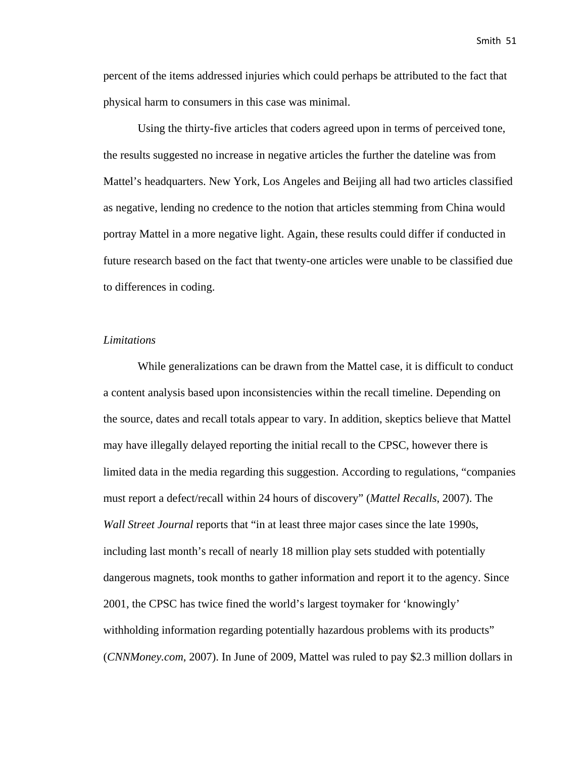percent of the items addressed injuries which could perhaps be attributed to the fact that physical harm to consumers in this case was minimal.

Using the thirty-five articles that coders agreed upon in terms of perceived tone, the results suggested no increase in negative articles the further the dateline was from Mattel's headquarters. New York, Los Angeles and Beijing all had two articles classified as negative, lending no credence to the notion that articles stemming from China would portray Mattel in a more negative light. Again, these results could differ if conducted in future research based on the fact that twenty-one articles were unable to be classified due to differences in coding.

#### *Limitations*

While generalizations can be drawn from the Mattel case, it is difficult to conduct a content analysis based upon inconsistencies within the recall timeline. Depending on the source, dates and recall totals appear to vary. In addition, skeptics believe that Mattel may have illegally delayed reporting the initial recall to the CPSC, however there is limited data in the media regarding this suggestion. According to regulations, "companies must report a defect/recall within 24 hours of discovery" (*Mattel Recalls*, 2007). The *Wall Street Journal* reports that "in at least three major cases since the late 1990s, including last month's recall of nearly 18 million play sets studded with potentially dangerous magnets, took months to gather information and report it to the agency. Since 2001, the CPSC has twice fined the world's largest toymaker for 'knowingly' withholding information regarding potentially hazardous problems with its products" (*CNNMoney.com*, 2007). In June of 2009, Mattel was ruled to pay \$2.3 million dollars in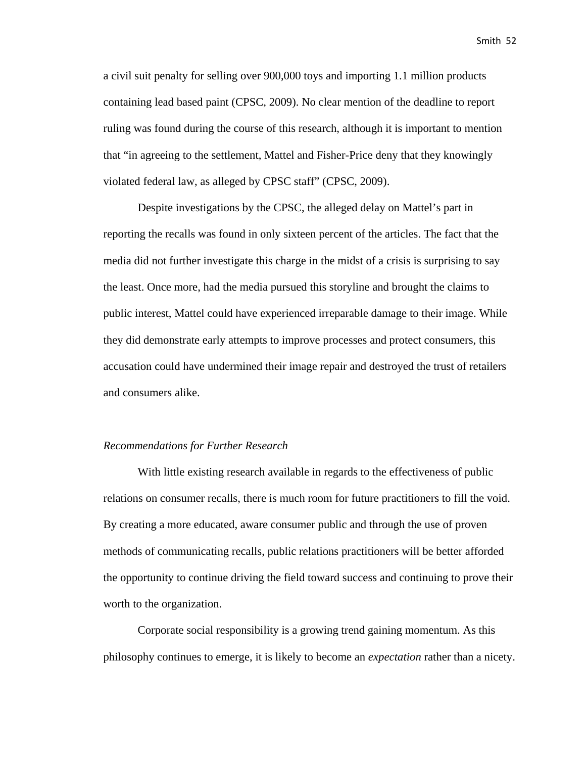a civil suit penalty for selling over 900,000 toys and importing 1.1 million products containing lead based paint (CPSC, 2009). No clear mention of the deadline to report ruling was found during the course of this research, although it is important to mention that "in agreeing to the settlement, Mattel and Fisher-Price deny that they knowingly violated federal law, as alleged by CPSC staff" (CPSC, 2009).

Despite investigations by the CPSC, the alleged delay on Mattel's part in reporting the recalls was found in only sixteen percent of the articles. The fact that the media did not further investigate this charge in the midst of a crisis is surprising to say the least. Once more, had the media pursued this storyline and brought the claims to public interest, Mattel could have experienced irreparable damage to their image. While they did demonstrate early attempts to improve processes and protect consumers, this accusation could have undermined their image repair and destroyed the trust of retailers and consumers alike.

#### *Recommendations for Further Research*

With little existing research available in regards to the effectiveness of public relations on consumer recalls, there is much room for future practitioners to fill the void. By creating a more educated, aware consumer public and through the use of proven methods of communicating recalls, public relations practitioners will be better afforded the opportunity to continue driving the field toward success and continuing to prove their worth to the organization.

Corporate social responsibility is a growing trend gaining momentum. As this philosophy continues to emerge, it is likely to become an *expectation* rather than a nicety.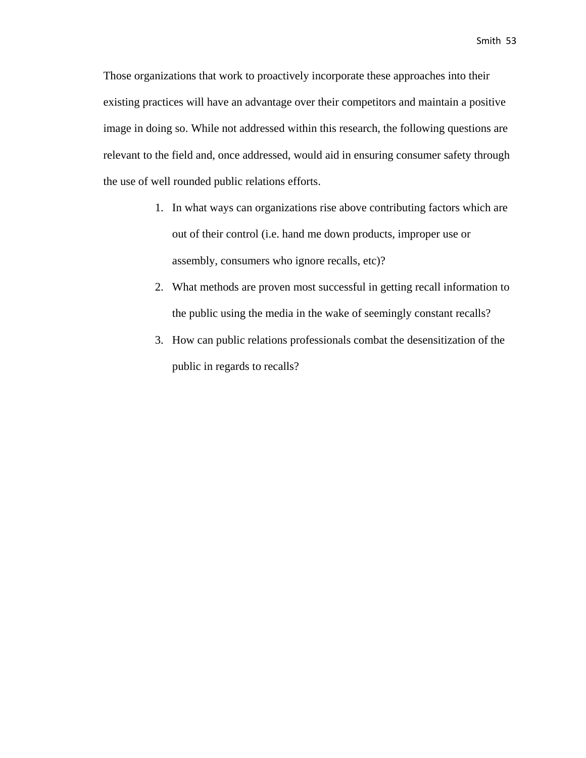Those organizations that work to proactively incorporate these approaches into their existing practices will have an advantage over their competitors and maintain a positive image in doing so. While not addressed within this research, the following questions are relevant to the field and, once addressed, would aid in ensuring consumer safety through the use of well rounded public relations efforts.

- 1. In what ways can organizations rise above contributing factors which are out of their control (i.e. hand me down products, improper use or assembly, consumers who ignore recalls, etc)?
- 2. What methods are proven most successful in getting recall information to the public using the media in the wake of seemingly constant recalls?
- 3. How can public relations professionals combat the desensitization of the public in regards to recalls?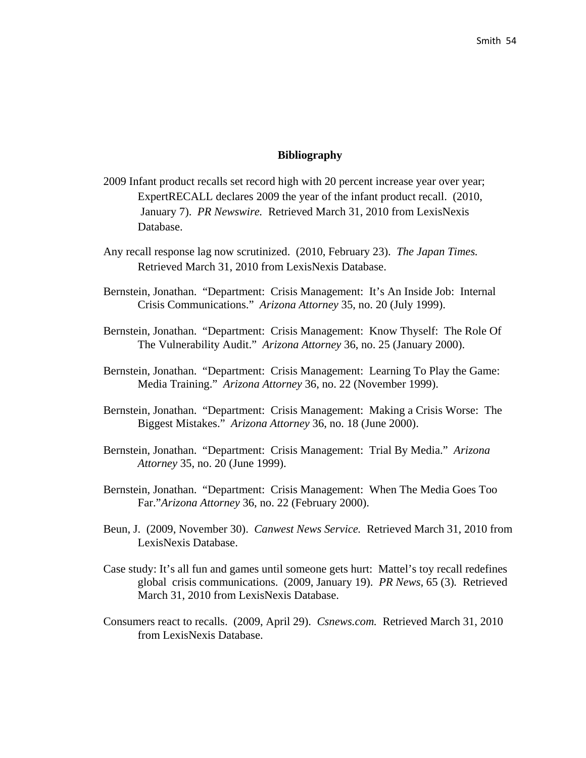#### **Bibliography**

- 2009 Infant product recalls set record high with 20 percent increase year over year; ExpertRECALL declares 2009 the year of the infant product recall. (2010, January 7). *PR Newswire.* Retrieved March 31, 2010 from LexisNexis Database.
- Any recall response lag now scrutinized. (2010, February 23). *The Japan Times.*  Retrieved March 31, 2010 from LexisNexis Database.
- Bernstein, Jonathan. "Department: Crisis Management: It's An Inside Job: Internal Crisis Communications." *Arizona Attorney* 35, no. 20 (July 1999).
- Bernstein, Jonathan. "Department: Crisis Management: Know Thyself: The Role Of The Vulnerability Audit." *Arizona Attorney* 36, no. 25 (January 2000).
- Bernstein, Jonathan. "Department: Crisis Management: Learning To Play the Game: Media Training." *Arizona Attorney* 36, no. 22 (November 1999).
- Bernstein, Jonathan. "Department: Crisis Management: Making a Crisis Worse: The Biggest Mistakes." *Arizona Attorney* 36, no. 18 (June 2000).
- Bernstein, Jonathan. "Department: Crisis Management: Trial By Media." *Arizona Attorney* 35, no. 20 (June 1999).
- Bernstein, Jonathan. "Department: Crisis Management: When The Media Goes Too Far."*Arizona Attorney* 36, no. 22 (February 2000).
- Beun, J. (2009, November 30). *Canwest News Service.* Retrieved March 31, 2010 from LexisNexis Database.
- Case study: It's all fun and games until someone gets hurt: Mattel's toy recall redefines global crisis communications. (2009, January 19). *PR News,* 65 (3)*.* Retrieved March 31, 2010 from LexisNexis Database.
- Consumers react to recalls. (2009, April 29). *Csnews.com.* Retrieved March 31, 2010 from LexisNexis Database.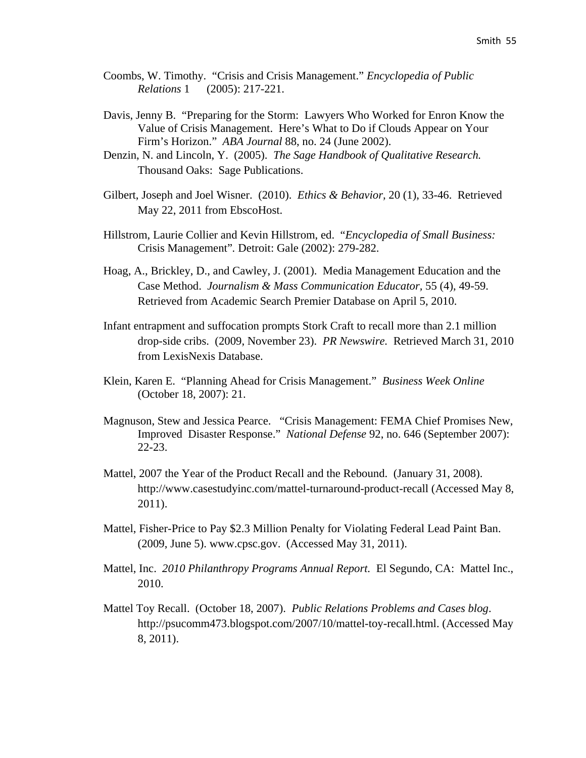- Coombs, W. Timothy. "Crisis and Crisis Management." *Encyclopedia of Public Relations* 1 (2005): 217-221.
- Davis, Jenny B. "Preparing for the Storm: Lawyers Who Worked for Enron Know the Value of Crisis Management. Here's What to Do if Clouds Appear on Your Firm's Horizon." *ABA Journal* 88, no. 24 (June 2002).
- Denzin, N. and Lincoln, Y. (2005). *The Sage Handbook of Qualitative Research.*  Thousand Oaks: Sage Publications.
- Gilbert, Joseph and Joel Wisner. (2010). *Ethics & Behavior,* 20 (1), 33-46. Retrieved May 22, 2011 from EbscoHost.
- Hillstrom, Laurie Collier and Kevin Hillstrom, ed. "*Encyclopedia of Small Business:*  Crisis Management"*.* Detroit: Gale (2002): 279-282.
- Hoag, A., Brickley, D., and Cawley, J. (2001). Media Management Education and the Case Method. *Journalism & Mass Communication Educator,* 55 (4), 49-59. Retrieved from Academic Search Premier Database on April 5, 2010.
- Infant entrapment and suffocation prompts Stork Craft to recall more than 2.1 million drop-side cribs. (2009, November 23). *PR Newswire.* Retrieved March 31, 2010 from LexisNexis Database.
- Klein, Karen E. "Planning Ahead for Crisis Management." *Business Week Online*  (October 18, 2007): 21.
- Magnuson, Stew and Jessica Pearce. "Crisis Management: FEMA Chief Promises New, Improved Disaster Response." *National Defense* 92, no. 646 (September 2007): 22-23.
- Mattel, 2007 the Year of the Product Recall and the Rebound. (January 31, 2008). http://www.casestudyinc.com/mattel-turnaround-product-recall (Accessed May 8, 2011).
- Mattel, Fisher-Price to Pay \$2.3 Million Penalty for Violating Federal Lead Paint Ban. (2009, June 5). www.cpsc.gov. (Accessed May 31, 2011).
- Mattel, Inc. *2010 Philanthropy Programs Annual Report.* El Segundo, CA: Mattel Inc., 2010.
- Mattel Toy Recall. (October 18, 2007). *Public Relations Problems and Cases blog*. http://psucomm473.blogspot.com/2007/10/mattel-toy-recall.html. (Accessed May 8, 2011).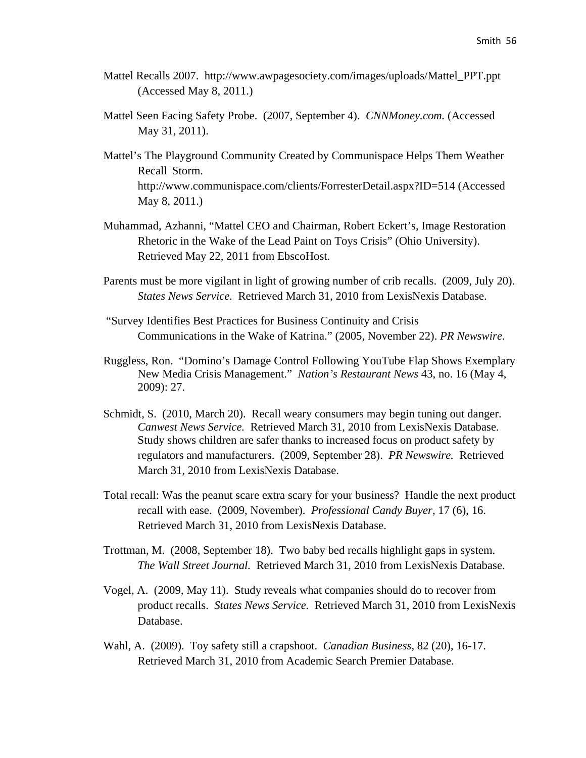- Mattel Recalls 2007. http://www.awpagesociety.com/images/uploads/Mattel\_PPT.ppt (Accessed May 8, 2011.)
- Mattel Seen Facing Safety Probe. (2007, September 4). *CNNMoney.com.* (Accessed May 31, 2011).
- Mattel's The Playground Community Created by Communispace Helps Them Weather Recall Storm. http://www.communispace.com/clients/ForresterDetail.aspx?ID=514 (Accessed May 8, 2011.)
- Muhammad, Azhanni, "Mattel CEO and Chairman, Robert Eckert's, Image Restoration Rhetoric in the Wake of the Lead Paint on Toys Crisis" (Ohio University). Retrieved May 22, 2011 from EbscoHost.
- Parents must be more vigilant in light of growing number of crib recalls. (2009, July 20). *States News Service.* Retrieved March 31, 2010 from LexisNexis Database.
- "Survey Identifies Best Practices for Business Continuity and Crisis Communications in the Wake of Katrina." (2005, November 22). *PR Newswire*.
- Ruggless, Ron. "Domino's Damage Control Following YouTube Flap Shows Exemplary New Media Crisis Management." *Nation's Restaurant News* 43, no. 16 (May 4, 2009): 27.
- Schmidt, S. (2010, March 20). Recall weary consumers may begin tuning out danger. *Canwest News Service.* Retrieved March 31, 2010 from LexisNexis Database. Study shows children are safer thanks to increased focus on product safety by regulators and manufacturers. (2009, September 28). *PR Newswire.* Retrieved March 31, 2010 from LexisNexis Database.
- Total recall: Was the peanut scare extra scary for your business? Handle the next product recall with ease. (2009, November). *Professional Candy Buyer,* 17 (6), 16. Retrieved March 31, 2010 from LexisNexis Database.
- Trottman, M. (2008, September 18). Two baby bed recalls highlight gaps in system. *The Wall Street Journal.* Retrieved March 31, 2010 from LexisNexis Database.
- Vogel, A. (2009, May 11). Study reveals what companies should do to recover from product recalls. *States News Service.* Retrieved March 31, 2010 from LexisNexis Database.
- Wahl, A. (2009). Toy safety still a crapshoot. *Canadian Business,* 82 (20), 16-17. Retrieved March 31, 2010 from Academic Search Premier Database.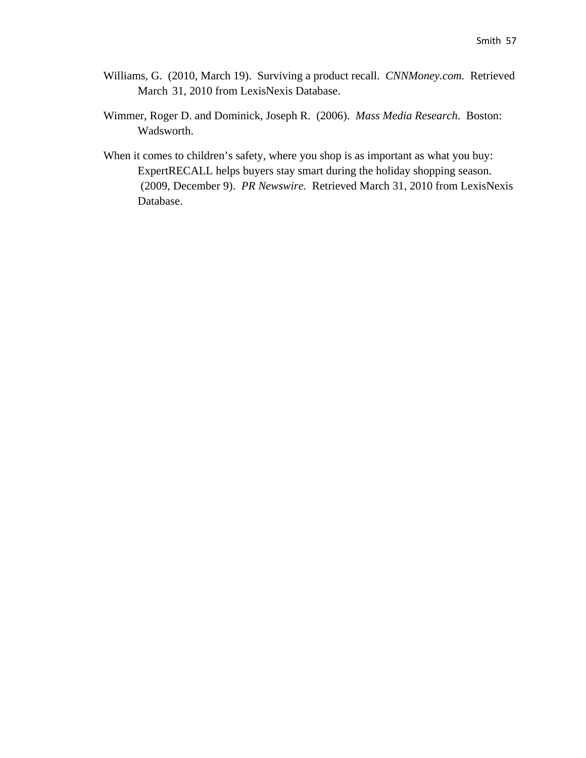- Williams, G. (2010, March 19). Surviving a product recall. *CNNMoney.com.* Retrieved March 31, 2010 from LexisNexis Database.
- Wimmer, Roger D. and Dominick, Joseph R. (2006). *Mass Media Research*. Boston: Wadsworth.
- When it comes to children's safety, where you shop is as important as what you buy: ExpertRECALL helps buyers stay smart during the holiday shopping season. (2009, December 9). *PR Newswire.* Retrieved March 31, 2010 from LexisNexis Database.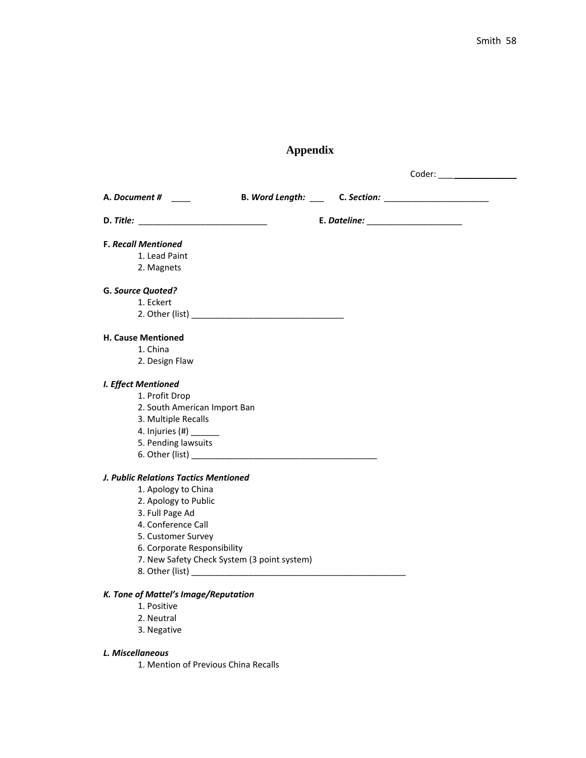## **Appendix**

Coder: \_\_\_ \_\_\_\_\_\_\_\_\_\_\_\_\_

| A. Document #                               |  |
|---------------------------------------------|--|
|                                             |  |
| <b>F. Recall Mentioned</b>                  |  |
| 1. Lead Paint                               |  |
| 2. Magnets                                  |  |
| G. Source Quoted?                           |  |
| 1. Eckert                                   |  |
|                                             |  |
| <b>H. Cause Mentioned</b>                   |  |
| 1. China                                    |  |
| 2. Design Flaw                              |  |
| I. Effect Mentioned                         |  |
| 1. Profit Drop                              |  |
| 2. South American Import Ban                |  |
| 3. Multiple Recalls                         |  |
| 4. Injuries (#) _______                     |  |
| 5. Pending lawsuits                         |  |
|                                             |  |
| J. Public Relations Tactics Mentioned       |  |
| 1. Apology to China                         |  |
| 2. Apology to Public                        |  |
| 3. Full Page Ad                             |  |
| 4. Conference Call                          |  |
| 5. Customer Survey                          |  |
| 6. Corporate Responsibility                 |  |
| 7. New Safety Check System (3 point system) |  |
|                                             |  |
| K. Tone of Mattel's Image/Reputation        |  |
| 1. Positive                                 |  |
| 2. Neutral                                  |  |
| 3. Negative                                 |  |
| L. Miscellaneous                            |  |
| 1. Mention of Previous China Recalls        |  |
|                                             |  |
|                                             |  |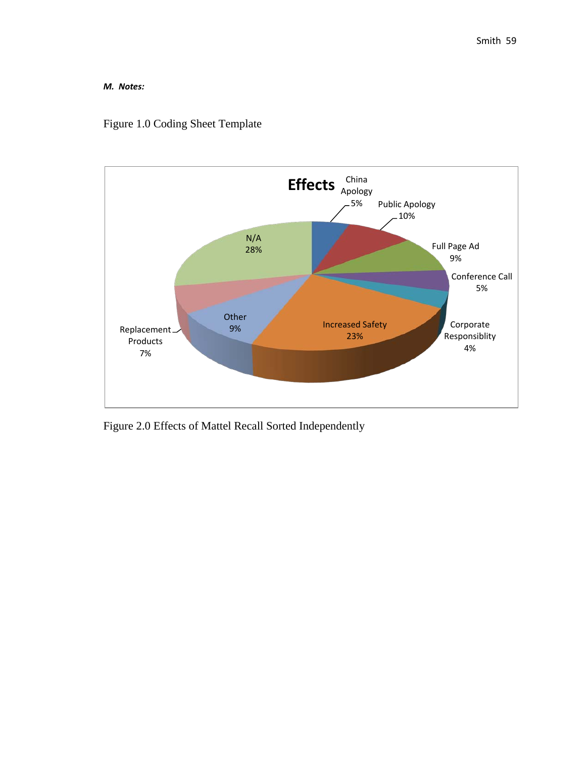#### *M. Notes:*

### Figure 1.0 Coding Sheet Template



Figure 2.0 Effects of Mattel Recall Sorted Independently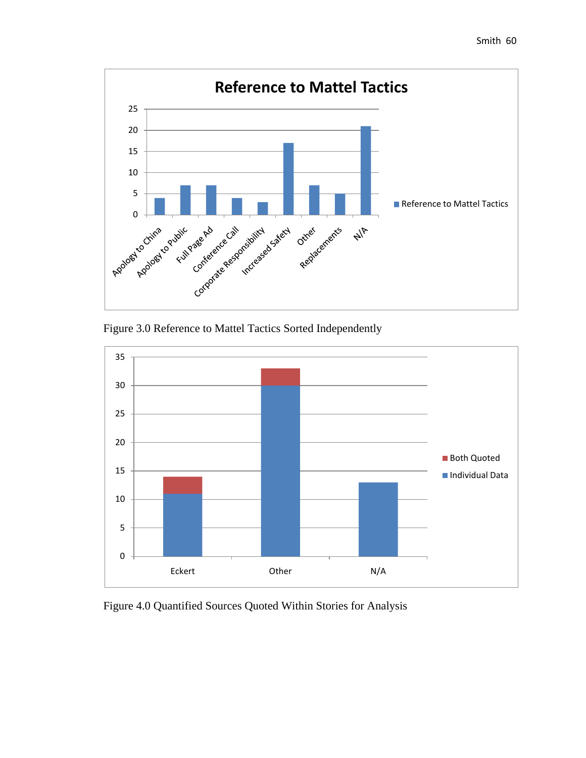





Figure 4.0 Quantified Sources Quoted Within Stories for Analysis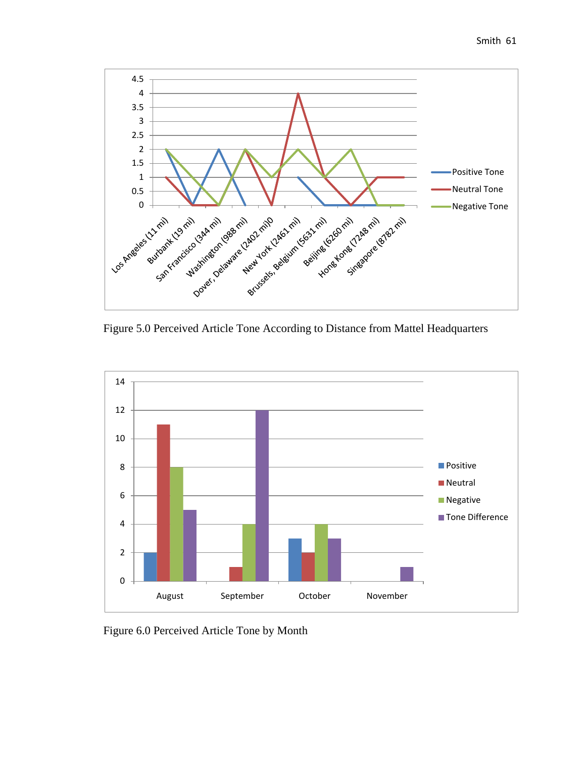



Figure 6.0 Perceived Article Tone by Month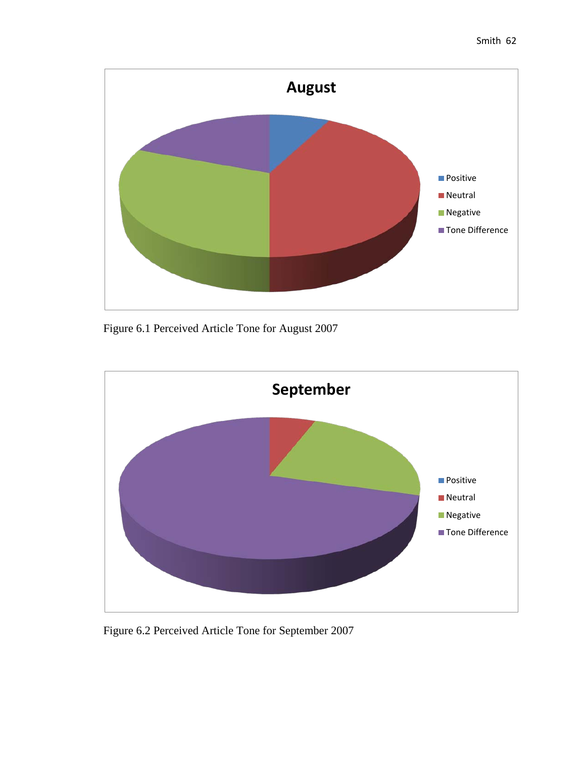



Figure 6.1 Perceived Article Tone for August 2007



Figure 6.2 Perceived Article Tone for September 2007